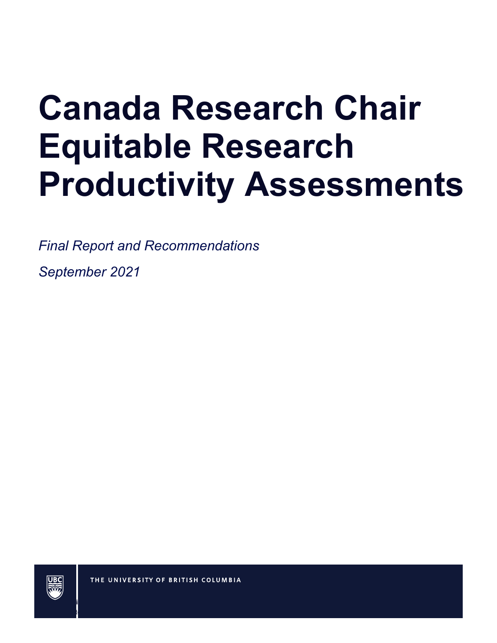# **Canada Research Chair Equitable Research Productivity Assessments**

*Final Report and Recommendations*

*September 2021* 



September 2021 | Final Report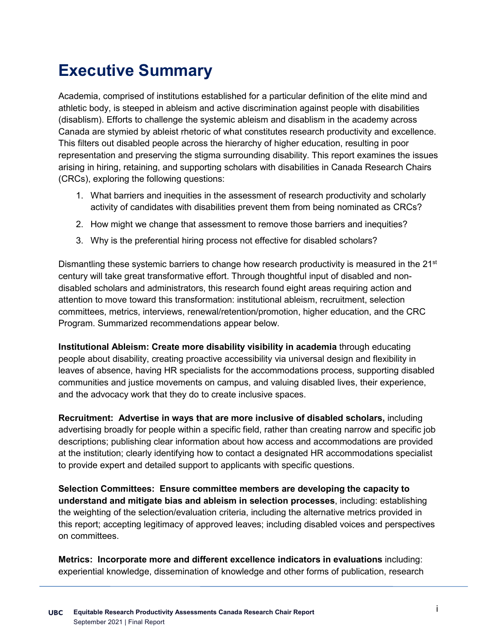# **Executive Summary**

Academia, comprised of institutions established for a particular definition of the elite mind and athletic body, is steeped in ableism and active discrimination against people with disabilities (disablism). Efforts to challenge the systemic ableism and disablism in the academy across Canada are stymied by ableist rhetoric of what constitutes research productivity and excellence. This filters out disabled people across the hierarchy of higher education, resulting in poor representation and preserving the stigma surrounding disability. This report examines the issues arising in hiring, retaining, and supporting scholars with disabilities in Canada Research Chairs (CRCs), exploring the following questions:

- 1. What barriers and inequities in the assessment of research productivity and scholarly activity of candidates with disabilities prevent them from being nominated as CRCs?
- 2. How might we change that assessment to remove those barriers and inequities?
- 3. Why is the preferential hiring process not effective for disabled scholars?

Dismantling these systemic barriers to change how research productivity is measured in the 21<sup>st</sup> century will take great transformative effort. Through thoughtful input of disabled and nondisabled scholars and administrators, this research found eight areas requiring action and attention to move toward this transformation: institutional ableism, recruitment, selection committees, metrics, interviews, renewal/retention/promotion, higher education, and the CRC Program. Summarized recommendations appear below.

**Institutional Ableism: Create more disability visibility in academia** through educating people about disability, creating proactive accessibility via universal design and flexibility in leaves of absence, having HR specialists for the accommodations process, supporting disabled communities and justice movements on campus, and valuing disabled lives, their experience, and the advocacy work that they do to create inclusive spaces.

**Recruitment: Advertise in ways that are more inclusive of disabled scholars,** including advertising broadly for people within a specific field, rather than creating narrow and specific job descriptions; publishing clear information about how access and accommodations are provided at the institution; clearly identifying how to contact a designated HR accommodations specialist to provide expert and detailed support to applicants with specific questions.

**Selection Committees: Ensure committee members are developing the capacity to understand and mitigate bias and ableism in selection processes**, including: establishing the weighting of the selection/evaluation criteria, including the alternative metrics provided in this report; accepting legitimacy of approved leaves; including disabled voices and perspectives on committees.

**Metrics: Incorporate more and different excellence indicators in evaluations** including: experiential knowledge, dissemination of knowledge and other forms of publication, research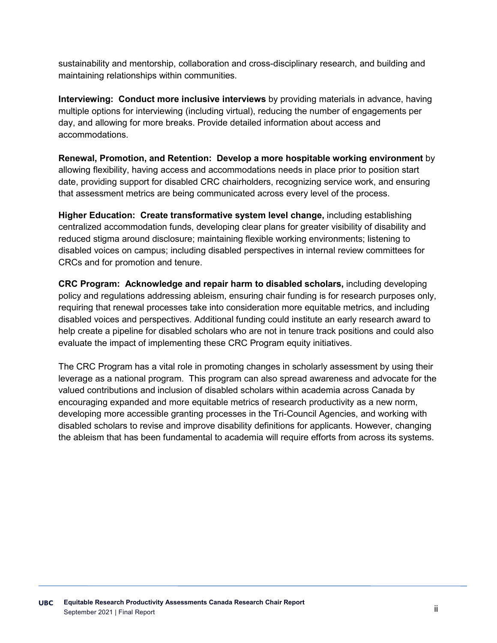sustainability and mentorship, collaboration and cross-disciplinary research, and building and maintaining relationships within communities.

**Interviewing: Conduct more inclusive interviews** by providing materials in advance, having multiple options for interviewing (including virtual), reducing the number of engagements per day, and allowing for more breaks. Provide detailed information about access and accommodations.

**Renewal, Promotion, and Retention: Develop a more hospitable working environment** by allowing flexibility, having access and accommodations needs in place prior to position start date, providing support for disabled CRC chairholders, recognizing service work, and ensuring that assessment metrics are being communicated across every level of the process.

**Higher Education: Create transformative system level change,** including establishing centralized accommodation funds, developing clear plans for greater visibility of disability and reduced stigma around disclosure; maintaining flexible working environments; listening to disabled voices on campus; including disabled perspectives in internal review committees for CRCs and for promotion and tenure.

**CRC Program: Acknowledge and repair harm to disabled scholars,** including developing policy and regulations addressing ableism, ensuring chair funding is for research purposes only, requiring that renewal processes take into consideration more equitable metrics, and including disabled voices and perspectives. Additional funding could institute an early research award to help create a pipeline for disabled scholars who are not in tenure track positions and could also evaluate the impact of implementing these CRC Program equity initiatives.

The CRC Program has a vital role in promoting changes in scholarly assessment by using their leverage as a national program. This program can also spread awareness and advocate for the valued contributions and inclusion of disabled scholars within academia across Canada by encouraging expanded and more equitable metrics of research productivity as a new norm, developing more accessible granting processes in the Tri-Council Agencies, and working with disabled scholars to revise and improve disability definitions for applicants. However, changing the ableism that has been fundamental to academia will require efforts from across its systems.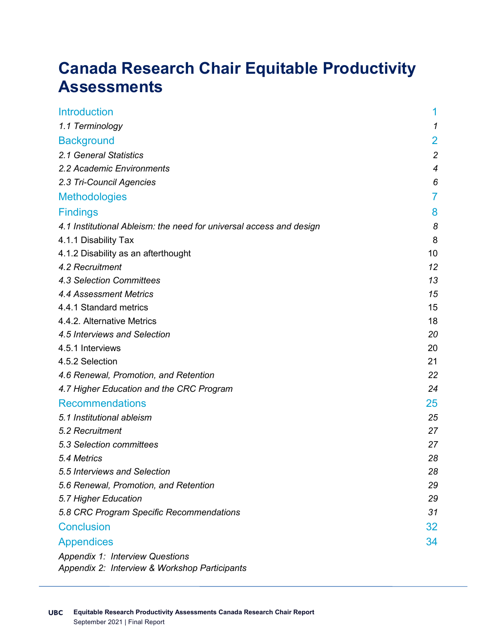# **Canada Research Chair Equitable Productivity Assessments**

| <b>Introduction</b>                                                                     | 1              |
|-----------------------------------------------------------------------------------------|----------------|
| 1.1 Terminology                                                                         | 1              |
| <b>Background</b>                                                                       | $\overline{2}$ |
| 2.1 General Statistics                                                                  | $\overline{c}$ |
| 2.2 Academic Environments                                                               | 4              |
| 2.3 Tri-Council Agencies                                                                | 6              |
| Methodologies                                                                           | 7              |
| <b>Findings</b>                                                                         | 8              |
| 4.1 Institutional Ableism: the need for universal access and design                     | 8              |
| 4.1.1 Disability Tax                                                                    | 8              |
| 4.1.2 Disability as an afterthought                                                     | 10             |
| 4.2 Recruitment                                                                         | 12             |
| 4.3 Selection Committees                                                                | 13             |
| <b>4.4 Assessment Metrics</b>                                                           | 15             |
| 4.4.1 Standard metrics                                                                  | 15             |
| 4.4.2. Alternative Metrics                                                              | 18             |
| 4.5 Interviews and Selection                                                            | 20             |
| 4.5.1 Interviews                                                                        | 20             |
| 4.5.2 Selection                                                                         | 21             |
| 4.6 Renewal, Promotion, and Retention                                                   | 22             |
| 4.7 Higher Education and the CRC Program                                                | 24             |
| <b>Recommendations</b>                                                                  | 25             |
| 5.1 Institutional ableism                                                               | 25             |
| 5.2 Recruitment                                                                         | 27             |
| 5.3 Selection committees                                                                | 27             |
| 5.4 Metrics                                                                             | 28             |
| 5.5 Interviews and Selection                                                            | 28             |
| 5.6 Renewal, Promotion, and Retention                                                   | 29             |
| 5.7 Higher Education                                                                    | 29             |
| 5.8 CRC Program Specific Recommendations                                                | 31             |
| <b>Conclusion</b>                                                                       | 32             |
| <b>Appendices</b>                                                                       | 34             |
| <b>Appendix 1: Interview Questions</b><br>Appendix 2: Interview & Workshop Participants |                |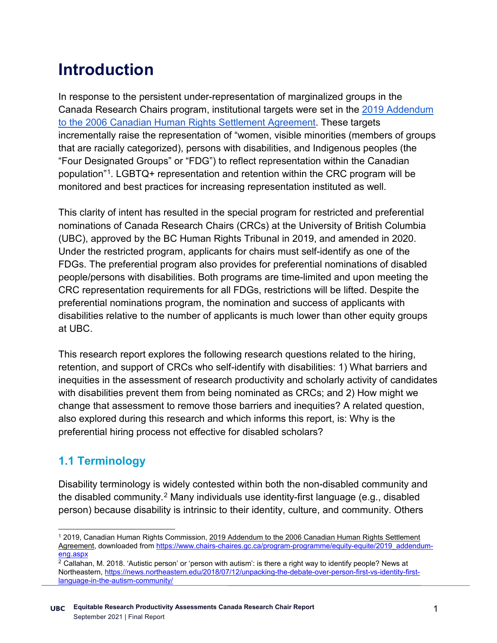# **Introduction**

In response to the persistent under-representation of marginalized groups in the Canada Research Chairs program, institutional targets were set in the [2019 Addendum](https://www.chairs-chaires.gc.ca/program-programme/equity-equite/2019_addendum-eng.aspx)  [to the 2006 Canadian Human Rights Settlement Agreement.](https://www.chairs-chaires.gc.ca/program-programme/equity-equite/2019_addendum-eng.aspx) These targets incrementally raise the representation of "women, visible minorities (members of groups that are racially categorized), persons with disabilities, and Indigenous peoples (the "Four Designated Groups" or "FDG") to reflect representation within the Canadian population"[1](#page-4-0). LGBTQ+ representation and retention within the CRC program will be monitored and best practices for increasing representation instituted as well.

This clarity of intent has resulted in the special program for restricted and preferential nominations of Canada Research Chairs (CRCs) at the University of British Columbia (UBC), approved by the BC Human Rights Tribunal in 2019, and amended in 2020. Under the restricted program, applicants for chairs must self-identify as one of the FDGs. The preferential program also provides for preferential nominations of disabled people/persons with disabilities. Both programs are time-limited and upon meeting the CRC representation requirements for all FDGs, restrictions will be lifted. Despite the preferential nominations program, the nomination and success of applicants with disabilities relative to the number of applicants is much lower than other equity groups at UBC.

This research report explores the following research questions related to the hiring, retention, and support of CRCs who self-identify with disabilities: 1) What barriers and inequities in the assessment of research productivity and scholarly activity of candidates with disabilities prevent them from being nominated as CRCs; and 2) How might we change that assessment to remove those barriers and inequities? A related question, also explored during this research and which informs this report, is: Why is the preferential hiring process not effective for disabled scholars?

### **1.1 Terminology**

Disability terminology is widely contested within both the non-disabled community and the disabled community. [2](#page-4-1) Many individuals use identity-first language (e.g., disabled person) because disability is intrinsic to their identity, culture, and community. Others

<span id="page-4-0"></span> <sup>1</sup> 2019, Canadian Human Rights Commission, 2019 Addendum to the 2006 Canadian Human Rights Settlement Agreement, downloaded fro[m https://www.chairs-chaires.gc.ca/program-programme/equity-equite/2019\\_addendum](https://www.chairs-chaires.gc.ca/program-programme/equity-equite/2019_addendum-eng.aspx)[eng.aspx](https://www.chairs-chaires.gc.ca/program-programme/equity-equite/2019_addendum-eng.aspx)

<span id="page-4-1"></span> $2$  Callahan, M. 2018. 'Autistic person' or 'person with autism': is there a right way to identify people? News at Northeastern, [https://news.northeastern.edu/2018/07/12/unpacking-the-debate-over-person-first-vs-identity-first](https://news.northeastern.edu/2018/07/12/unpacking-the-debate-over-person-first-vs-identity-first-language-in-the-autism-community/)[language-in-the-autism-community/](https://news.northeastern.edu/2018/07/12/unpacking-the-debate-over-person-first-vs-identity-first-language-in-the-autism-community/)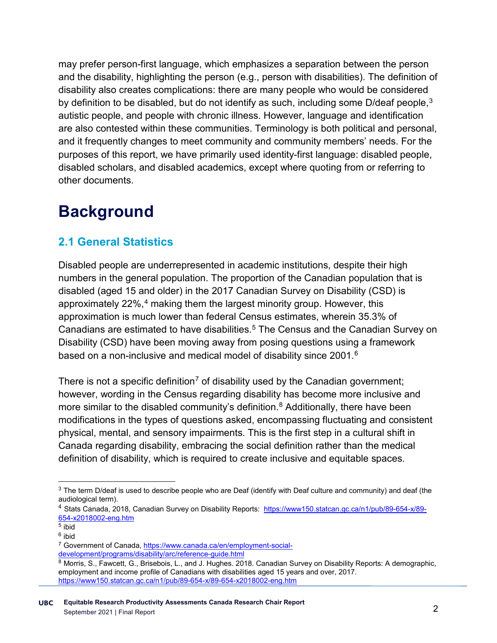may prefer person-first language, which emphasizes a separation between the person and the disability, highlighting the person (e.g., person with disabilities). The definition of disability also creates complications: there are many people who would be considered by definition to be disabled, but do not identify as such, including some D/deaf people,<sup>[3](#page-5-0)</sup> autistic people, and people with chronic illness. However, language and identification are also contested within these communities. Terminology is both political and personal, and it frequently changes to meet community and community members' needs. For the purposes of this report, we have primarily used identity-first language: disabled people, disabled scholars, and disabled academics, except where quoting from or referring to other documents.

# **Background**

# **2.1 General Statistics**

Disabled people are underrepresented in academic institutions, despite their high numbers in the general population. The proportion of the Canadian population that is disabled (aged 15 and older) in the 2017 Canadian Survey on Disability (CSD) is approximately 22%,<sup>[4](#page-5-1)</sup> making them the largest minority group. However, this approximation is much lower than federal Census estimates, wherein 35.3% of Canadians are estimated to have disabilities. [5](#page-5-2) The Census and the Canadian Survey on Disability (CSD) have been moving away from posing questions using a framework based on a non-inclusive and medical model of disability since 2001.<sup>[6](#page-5-3)</sup>

There is not a specific definition<sup>[7](#page-5-4)</sup> of disability used by the Canadian government; however, wording in the Census regarding disability has become more inclusive and more similar to the disabled community's definition.<sup>[8](#page-5-5)</sup> Additionally, there have been modifications in the types of questions asked, encompassing fluctuating and consistent physical, mental, and sensory impairments. This is the first step in a cultural shift in Canada regarding disability, embracing the social definition rather than the medical definition of disability, which is required to create inclusive and equitable spaces.

<span id="page-5-0"></span> $3$  The term D/deaf is used to describe people who are Deaf (identify with Deaf culture and community) and deaf (the audiological term).

<span id="page-5-1"></span><sup>4</sup> Stats Canada, 2018, Canadian Survey on Disability Reports: [https://www150.statcan.gc.ca/n1/pub/89-654-x/89-](https://www150.statcan.gc.ca/n1/pub/89-654-x/89-654-x2018002-eng.htm)  $654-x2018002$ -eng.htm<br><sup>5</sup> ibid<br><sup>6</sup> ibid

<span id="page-5-2"></span>

<span id="page-5-3"></span>

<span id="page-5-4"></span><sup>&</sup>lt;sup>7</sup> Government of Canada, [https://www.canada.ca/en/employment-social](https://www.canada.ca/en/employment-social-development/programs/disability/arc/reference-guide.html)[development/programs/disability/arc/reference-guide.html](https://www.canada.ca/en/employment-social-development/programs/disability/arc/reference-guide.html)

<span id="page-5-5"></span><sup>8</sup> Morris, S., Fawcett, G., Brisebois, L., and J. Hughes. 2018. Canadian Survey on Disability Reports: A demographic, employment and income profile of Canadians with disabilities aged 15 years and over, 2017. <https://www150.statcan.gc.ca/n1/pub/89-654-x/89-654-x2018002-eng.htm>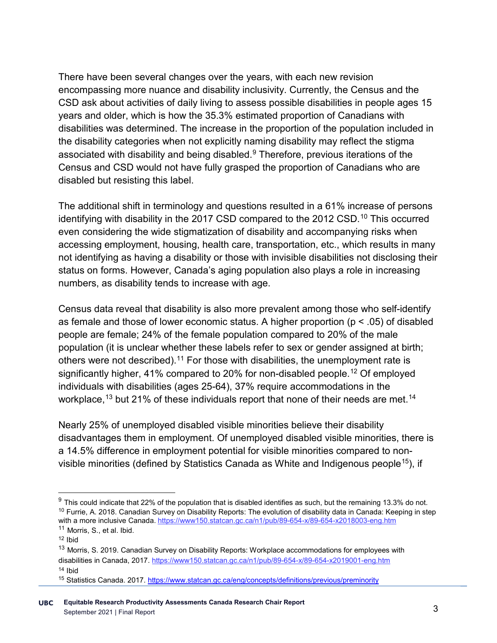There have been several changes over the years, with each new revision encompassing more nuance and disability inclusivity. Currently, the Census and the CSD ask about activities of daily living to assess possible disabilities in people ages 15 years and older, which is how the 35.3% estimated proportion of Canadians with disabilities was determined. The increase in the proportion of the population included in the disability categories when not explicitly naming disability may reflect the stigma associated with disability and being disabled. [9](#page-6-0) Therefore, previous iterations of the Census and CSD would not have fully grasped the proportion of Canadians who are disabled but resisting this label.

The additional shift in terminology and questions resulted in a 61% increase of persons identifying with disability in the 2017 CSD compared to the 2012 CSD. [10](#page-6-1) This occurred even considering the wide stigmatization of disability and accompanying risks when accessing employment, housing, health care, transportation, etc., which results in many not identifying as having a disability or those with invisible disabilities not disclosing their status on forms. However, Canada's aging population also plays a role in increasing numbers, as disability tends to increase with age.

Census data reveal that disability is also more prevalent among those who self-identify as female and those of lower economic status. A higher proportion (p < .05) of disabled people are female; 24% of the female population compared to 20% of the male population (it is unclear whether these labels refer to sex or gender assigned at birth; others were not described).<sup>[11](#page-6-2)</sup> For those with disabilities, the unemployment rate is significantly higher, 41% compared to 20% for non-disabled people. [12](#page-6-3) Of employed individuals with disabilities (ages 25-64), 37% require accommodations in the workplace, $^{\mathsf{13}}$  $^{\mathsf{13}}$  $^{\mathsf{13}}$  but 21% of these individuals report that none of their needs are met. $^{\mathsf{14}}$  $^{\mathsf{14}}$  $^{\mathsf{14}}$ 

Nearly 25% of unemployed disabled visible minorities believe their disability disadvantages them in employment. Of unemployed disabled visible minorities, there is a 14.5% difference in employment potential for visible minorities compared to nonvisible minorities (defined by Statistics Canada as White and Indigenous people<sup>15</sup>), if

<span id="page-6-1"></span><span id="page-6-0"></span> $9$  This could indicate that 22% of the population that is disabled identifies as such, but the remaining 13.3% do not.  $10$  Furrie, A. 2018. Canadian Survey on Disability Reports: The evolution of disability data in Canada: Keeping in step with a more inclusive Canada. https://www150.statcan.gc.ca/n1/pub/89-654-x/89-654-x2018003-eng.htm<br><sup>11</sup> Morris, S., et al. Ibid.

<span id="page-6-3"></span><span id="page-6-2"></span><sup>12</sup> Ibid

<span id="page-6-4"></span><sup>&</sup>lt;sup>13</sup> Morris, S. 2019. Canadian Survey on Disability Reports: Workplace accommodations for employees with disabilities in Canada, 2017. <https://www150.statcan.gc.ca/n1/pub/89-654-x/89-654-x2019001-eng.htm>  $14$  Ibid

<span id="page-6-6"></span><span id="page-6-5"></span><sup>15</sup> Statistics Canada. 2017.<https://www.statcan.gc.ca/eng/concepts/definitions/previous/preminority>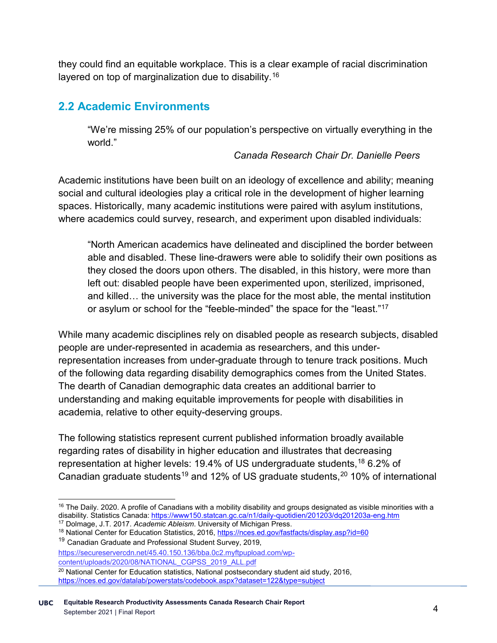they could find an equitable workplace. This is a clear example of racial discrimination layered on top of marginalization due to disability.[16](#page-7-0)

### **2.2 Academic Environments**

"We're missing 25% of our population's perspective on virtually everything in the world."

#### *Canada Research Chair Dr. Danielle Peers*

Academic institutions have been built on an ideology of excellence and ability; meaning social and cultural ideologies play a critical role in the development of higher learning spaces. Historically, many academic institutions were paired with asylum institutions, where academics could survey, research, and experiment upon disabled individuals:

"North American academics have delineated and disciplined the border between able and disabled. These line-drawers were able to solidify their own positions as they closed the doors upon others. The disabled, in this history, were more than left out: disabled people have been experimented upon, sterilized, imprisoned, and killed… the university was the place for the most able, the mental institution or asylum or school for the "feeble-minded" the space for the "least."<sup>[17](#page-7-1)</sup>

While many academic disciplines rely on disabled people as research subjects, disabled people are under-represented in academia as researchers, and this underrepresentation increases from under-graduate through to tenure track positions. Much of the following data regarding disability demographics comes from the United States. The dearth of Canadian demographic data creates an additional barrier to understanding and making equitable improvements for people with disabilities in academia, relative to other equity-deserving groups.

The following statistics represent current published information broadly available regarding rates of disability in higher education and illustrates that decreasing representation at higher levels: 19.4% of US undergraduate students, <sup>[18](#page-7-2)</sup> 6.2% of Canadian graduate students $^{19}$  $^{19}$  $^{19}$  and 12% of US graduate students, $^{20}$  $^{20}$  $^{20}$  10% of international

<span id="page-7-0"></span> $16$  The Daily. 2020. A profile of Canadians with a mobility disability and groups designated as visible minorities with a disability. Statistics Canada[: https://www150.statcan.gc.ca/n1/daily-quotidien/201203/dq201203a-eng.htm](https://www150.statcan.gc.ca/n1/daily-quotidien/201203/dq201203a-eng.htm)

<sup>17</sup> Dolmage, J.T. 2017. *Academic Ableism*. University of Michigan Press.

<span id="page-7-2"></span><span id="page-7-1"></span><sup>&</sup>lt;sup>18</sup> National Center for Education Statistics, 2016,<https://nces.ed.gov/fastfacts/display.asp?id=60>

<span id="page-7-3"></span><sup>&</sup>lt;sup>19</sup> Canadian Graduate and Professional Student Survey, 2019.

[https://secureservercdn.net/45.40.150.136/bba.0c2.myftpupload.com/wp](https://secureservercdn.net/45.40.150.136/bba.0c2.myftpupload.com/wp-content/uploads/2020/08/NATIONAL_CGPSS_2019_ALL.pdf)[content/uploads/2020/08/NATIONAL\\_CGPSS\\_2019\\_ALL.pdf](https://secureservercdn.net/45.40.150.136/bba.0c2.myftpupload.com/wp-content/uploads/2020/08/NATIONAL_CGPSS_2019_ALL.pdf)

<span id="page-7-4"></span><sup>&</sup>lt;sup>20</sup> National Center for Education statistics, National postsecondary student aid study, 2016, <https://nces.ed.gov/datalab/powerstats/codebook.aspx?dataset=122&type=subject>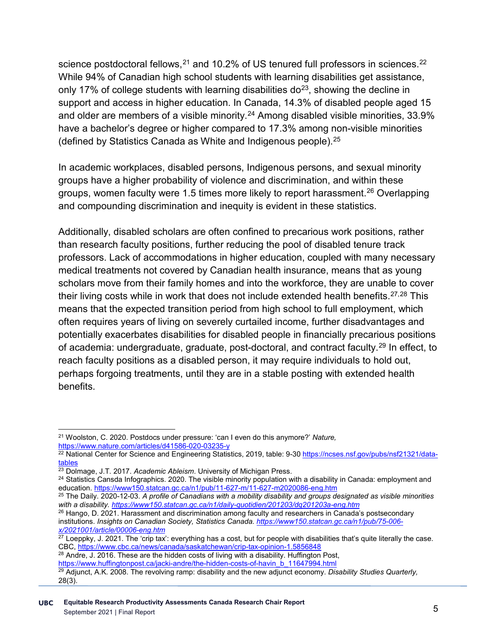science postdoctoral fellows, $^{21}$  $^{21}$  $^{21}$  and 10.2% of US tenured full professors in sciences. $^{22}$  $^{22}$  $^{22}$ While 94% of Canadian high school students with learning disabilities get assistance, only 17% of college students with learning disabilities  $d\rho^{23}$  $d\rho^{23}$  $d\rho^{23}$ , showing the decline in support and access in higher education. In Canada, 14.3% of disabled people aged 15 and older are members of a visible minority.<sup>[24](#page-8-3)</sup> Among disabled visible minorities, 33.9% have a bachelor's degree or higher compared to 17.3% among non-visible minorities (defined by Statistics Canada as White and Indigenous people).<sup>[25](#page-8-4)</sup>

In academic workplaces, disabled persons, Indigenous persons, and sexual minority groups have a higher probability of violence and discrimination, and within these groups, women faculty were 1.5 times more likely to report harassment.<sup>[26](#page-8-5)</sup> Overlapping and compounding discrimination and inequity is evident in these statistics.

Additionally, disabled scholars are often confined to precarious work positions, rather than research faculty positions, further reducing the pool of disabled tenure track professors. Lack of accommodations in higher education, coupled with many necessary medical treatments not covered by Canadian health insurance, means that as young scholars move from their family homes and into the workforce, they are unable to cover their living costs while in work that does not include extended health benefits.  $27,28$  $27,28$  $27,28$  This means that the expected transition period from high school to full employment, which often requires years of living on severely curtailed income, further disadvantages and potentially exacerbates disabilities for disabled people in financially precarious positions of academia: undergraduate, graduate, post-doctoral, and contract faculty.<sup>[29](#page-8-8)</sup> In effect, to reach faculty positions as a disabled person, it may require individuals to hold out, perhaps forgoing treatments, until they are in a stable posting with extended health benefits.

<span id="page-8-0"></span> <sup>21</sup> Woolston, C. 2020. Postdocs under pressure: 'can I even do this anymore?' *Nature,*  <https://www.nature.com/articles/d41586-020-03235-y>

<span id="page-8-1"></span><sup>&</sup>lt;sup>22</sup> National Center for Science and Engineering Statistics, 2019, table: 9-30 <u>https://ncses.nsf.gov/pubs/nsf21321/data-</u> [tables](https://ncses.nsf.gov/pubs/nsf21321/data-tables)

<span id="page-8-2"></span><sup>23</sup> Dolmage, J.T. 2017. *Academic Ableism*. University of Michigan Press.

<span id="page-8-3"></span><sup>&</sup>lt;sup>24</sup> Statistics Cansda Infographics. 2020. The visible minority population with a disability in Canada: employment and education.<https://www150.statcan.gc.ca/n1/pub/11-627-m/11-627-m2020086-eng.htm>

<span id="page-8-4"></span><sup>25</sup> The Daily. 2020-12-03. *A profile of Canadians with a mobility disability and groups designated as visible minorities with a disability[. https://www150.statcan.gc.ca/n1/daily-quotidien/201203/dq201203a-eng.htm](https://www150.statcan.gc.ca/n1/daily-quotidien/201203/dq201203a-eng.htm)*

<span id="page-8-5"></span><sup>&</sup>lt;sup>26</sup> Hango, D. 2021. Harassment and discrimination among faculty and researchers in Canada's postsecondary institutions. *Insights on Canadian Society, Statistics Canada. [https://www150.statcan.gc.ca/n1/pub/75-006](https://www150.statcan.gc.ca/n1/pub/75-006-x/2021001/article/00006-eng.htm) [x/2021001/article/00006-eng.htm](https://www150.statcan.gc.ca/n1/pub/75-006-x/2021001/article/00006-eng.htm)*

<span id="page-8-6"></span> $^{27}$  Loeppky, J. 2021. The 'crip tax': everything has a cost, but for people with disabilities that's quite literally the case. CBC,<https://www.cbc.ca/news/canada/saskatchewan/crip-tax-opinion-1.5856848>

<span id="page-8-7"></span><sup>&</sup>lt;sup>28</sup> Andre, J. 2016. These are the hidden costs of living with a disability. Huffington Post, [https://www.huffingtonpost.ca/jacki-andre/the-hidden-costs-of-havin\\_b\\_11647994.html](https://www.huffingtonpost.ca/jacki-andre/the-hidden-costs-of-havin_b_11647994.html)

<span id="page-8-8"></span><sup>29</sup> Adjunct, A.K. 2008. The revolving ramp: disability and the new adjunct economy. *Disability Studies Quarterly,*  28(3).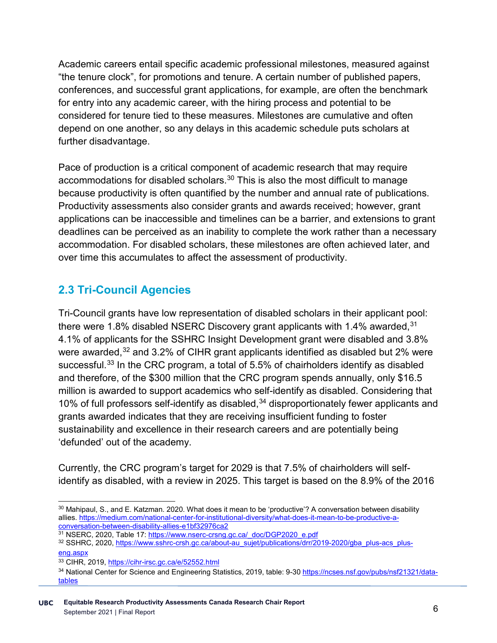Academic careers entail specific academic professional milestones, measured against "the tenure clock", for promotions and tenure. A certain number of published papers, conferences, and successful grant applications, for example, are often the benchmark for entry into any academic career, with the hiring process and potential to be considered for tenure tied to these measures. Milestones are cumulative and often depend on one another, so any delays in this academic schedule puts scholars at further disadvantage.

Pace of production is a critical component of academic research that may require accommodations for disabled scholars.<sup>[30](#page-9-0)</sup> This is also the most difficult to manage because productivity is often quantified by the number and annual rate of publications. Productivity assessments also consider grants and awards received; however, grant applications can be inaccessible and timelines can be a barrier, and extensions to grant deadlines can be perceived as an inability to complete the work rather than a necessary accommodation. For disabled scholars, these milestones are often achieved later, and over time this accumulates to affect the assessment of productivity.

# **2.3 Tri-Council Agencies**

Tri-Council grants have low representation of disabled scholars in their applicant pool: there were 1.8% disabled NSERC Discovery grant applicants with 1.4% awarded,  $31$ 4.1% of applicants for the SSHRC Insight Development grant were disabled and 3.8% were awarded,<sup>[32](#page-9-2)</sup> and 3.2% of CIHR grant applicants identified as disabled but 2% were successful.<sup>[33](#page-9-3)</sup> In the CRC program, a total of 5.5% of chairholders identify as disabled and therefore, of the \$300 million that the CRC program spends annually, only \$16.5 million is awarded to support academics who self-identify as disabled. Considering that 10% of full professors self-identify as disabled,  $34$  disproportionately fewer applicants and grants awarded indicates that they are receiving insufficient funding to foster sustainability and excellence in their research careers and are potentially being 'defunded' out of the academy.

Currently, the CRC program's target for 2029 is that 7.5% of chairholders will selfidentify as disabled, with a review in 2025. This target is based on the 8.9% of the 2016

[eng.aspx](https://www.sshrc-crsh.gc.ca/about-au_sujet/publications/drr/2019-2020/gba_plus-acs_plus-eng.aspx)

<span id="page-9-0"></span><sup>&</sup>lt;sup>30</sup> Mahipaul, S., and E. Katzman. 2020. What does it mean to be 'productive'? A conversation between disability allies[. https://medium.com/national-center-for-institutional-diversity/what-does-it-mean-to-be-productive-a](https://medium.com/national-center-for-institutional-diversity/what-does-it-mean-to-be-productive-a-conversation-between-disability-allies-e1bf32976ca2)[conversation-between-disability-allies-e1bf32976ca2](https://medium.com/national-center-for-institutional-diversity/what-does-it-mean-to-be-productive-a-conversation-between-disability-allies-e1bf32976ca2)

<span id="page-9-1"></span><sup>31</sup> NSERC, 2020, Table 17[: https://www.nserc-crsng.gc.ca/\\_doc/DGP2020\\_e.pdf](https://www.nserc-crsng.gc.ca/_doc/DGP2020_e.pdf)

<span id="page-9-2"></span><sup>&</sup>lt;sup>32</sup> SSHRC, 2020[, https://www.sshrc-crsh.gc.ca/about-au\\_sujet/publications/drr/2019-2020/gba\\_plus-acs\\_plus-](https://www.sshrc-crsh.gc.ca/about-au_sujet/publications/drr/2019-2020/gba_plus-acs_plus-eng.aspx)

<sup>33</sup> CIHR, 2019,<https://cihr-irsc.gc.ca/e/52552.html>

<span id="page-9-4"></span><span id="page-9-3"></span><sup>34</sup> National Center for Science and Engineering Statistics, 2019, table: 9-30 [https://ncses.nsf.gov/pubs/nsf21321/data](https://ncses.nsf.gov/pubs/nsf21321/data-tables)[tables](https://ncses.nsf.gov/pubs/nsf21321/data-tables)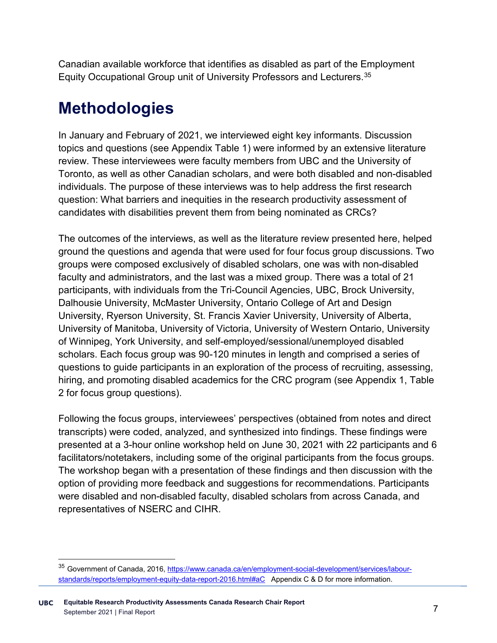Canadian available workforce that identifies as disabled as part of the Employment Equity Occupational Group unit of University Professors and Lecturers. [35](#page-10-0)

# **Methodologies**

In January and February of 2021, we interviewed eight key informants. Discussion topics and questions (see Appendix Table 1) were informed by an extensive literature review. These interviewees were faculty members from UBC and the University of Toronto, as well as other Canadian scholars, and were both disabled and non-disabled individuals. The purpose of these interviews was to help address the first research question: What barriers and inequities in the research productivity assessment of candidates with disabilities prevent them from being nominated as CRCs?

The outcomes of the interviews, as well as the literature review presented here, helped ground the questions and agenda that were used for four focus group discussions. Two groups were composed exclusively of disabled scholars, one was with non-disabled faculty and administrators, and the last was a mixed group. There was a total of 21 participants, with individuals from the Tri-Council Agencies, UBC, Brock University, Dalhousie University, McMaster University, Ontario College of Art and Design University, Ryerson University, St. Francis Xavier University, University of Alberta, University of Manitoba, University of Victoria, University of Western Ontario, University of Winnipeg, York University, and self-employed/sessional/unemployed disabled scholars. Each focus group was 90-120 minutes in length and comprised a series of questions to guide participants in an exploration of the process of recruiting, assessing, hiring, and promoting disabled academics for the CRC program (see Appendix 1, Table 2 for focus group questions).

Following the focus groups, interviewees' perspectives (obtained from notes and direct transcripts) were coded, analyzed, and synthesized into findings. These findings were presented at a 3-hour online workshop held on June 30, 2021 with 22 participants and 6 facilitators/notetakers, including some of the original participants from the focus groups. The workshop began with a presentation of these findings and then discussion with the option of providing more feedback and suggestions for recommendations. Participants were disabled and non-disabled faculty, disabled scholars from across Canada, and representatives of NSERC and CIHR.

<span id="page-10-0"></span><sup>35</sup> Government of Canada, 2016, [https://www.canada.ca/en/employment-social-development/services/labour](https://www.canada.ca/en/employment-social-development/services/labour-standards/reports/employment-equity-data-report-2016.html#aC)[standards/reports/employment-equity-data-report-2016.html#aC](https://www.canada.ca/en/employment-social-development/services/labour-standards/reports/employment-equity-data-report-2016.html#aC) Appendix C & D for more information.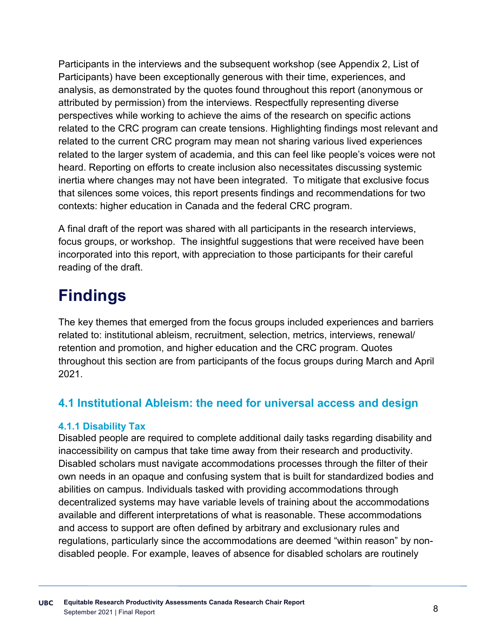Participants in the interviews and the subsequent workshop (see Appendix 2, List of Participants) have been exceptionally generous with their time, experiences, and analysis, as demonstrated by the quotes found throughout this report (anonymous or attributed by permission) from the interviews. Respectfully representing diverse perspectives while working to achieve the aims of the research on specific actions related to the CRC program can create tensions. Highlighting findings most relevant and related to the current CRC program may mean not sharing various lived experiences related to the larger system of academia, and this can feel like people's voices were not heard. Reporting on efforts to create inclusion also necessitates discussing systemic inertia where changes may not have been integrated. To mitigate that exclusive focus that silences some voices, this report presents findings and recommendations for two contexts: higher education in Canada and the federal CRC program.

A final draft of the report was shared with all participants in the research interviews, focus groups, or workshop. The insightful suggestions that were received have been incorporated into this report, with appreciation to those participants for their careful reading of the draft.

# **Findings**

The key themes that emerged from the focus groups included experiences and barriers related to: institutional ableism, recruitment, selection, metrics, interviews, renewal/ retention and promotion, and higher education and the CRC program. Quotes throughout this section are from participants of the focus groups during March and April 2021.

# **4.1 Institutional Ableism: the need for universal access and design**

#### **4.1.1 Disability Tax**

Disabled people are required to complete additional daily tasks regarding disability and inaccessibility on campus that take time away from their research and productivity. Disabled scholars must navigate accommodations processes through the filter of their own needs in an opaque and confusing system that is built for standardized bodies and abilities on campus. Individuals tasked with providing accommodations through decentralized systems may have variable levels of training about the accommodations available and different interpretations of what is reasonable. These accommodations and access to support are often defined by arbitrary and exclusionary rules and regulations, particularly since the accommodations are deemed "within reason" by nondisabled people. For example, leaves of absence for disabled scholars are routinely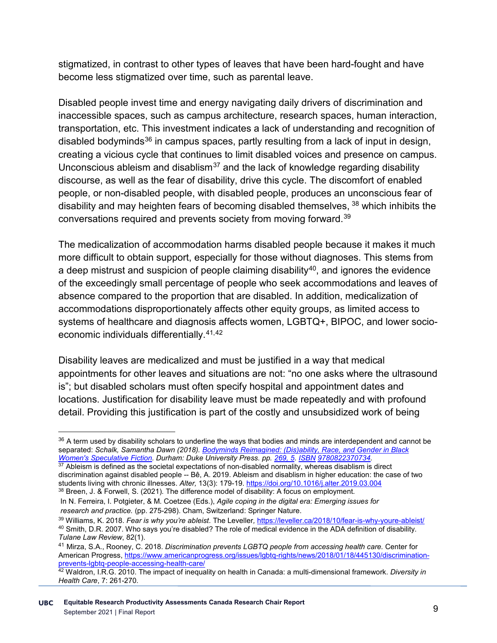stigmatized, in contrast to other types of leaves that have been hard-fought and have become less stigmatized over time, such as parental leave.

Disabled people invest time and energy navigating daily drivers of discrimination and inaccessible spaces, such as campus architecture, research spaces, human interaction, transportation, etc. This investment indicates a lack of understanding and recognition of disabled bodyminds<sup>[36](#page-12-0)</sup> in campus spaces, partly resulting from a lack of input in design, creating a vicious cycle that continues to limit disabled voices and presence on campus. Unconscious ableism and disablism<sup>[37](#page-12-1)</sup> and the lack of knowledge regarding disability discourse, as well as the fear of disability, drive this cycle. The discomfort of enabled people, or non-disabled people, with disabled people, produces an unconscious fear of disability and may heighten fears of becoming disabled themselves, <sup>[38](#page-12-2)</sup> which inhibits the conversations required and prevents society from moving forward.[39](#page-12-3)

The medicalization of accommodation harms disabled people because it makes it much more difficult to obtain support, especially for those without diagnoses. This stems from a deep mistrust and suspicion of people claiming disability<sup>40</sup>, and ignores the evidence of the exceedingly small percentage of people who seek accommodations and leaves of absence compared to the proportion that are disabled. In addition, medicalization of accommodations disproportionately affects other equity groups, as limited access to systems of healthcare and diagnosis affects women, LGBTQ+, BIPOC, and lower socioeconomic individuals differentially. [41,](#page-12-5)[42](#page-12-6)

Disability leaves are medicalized and must be justified in a way that medical appointments for other leaves and situations are not: "no one asks where the ultrasound is"; but disabled scholars must often specify hospital and appointment dates and locations. Justification for disability leave must be made repeatedly and with profound detail. Providing this justification is part of the costly and unsubsidized work of being

<span id="page-12-1"></span> $37$  Ableism is defined as the societal expectations of non-disabled normality, whereas disablism is direct discrimination against disabled people -- Bê, A. 2019. Ableism and disablism in higher education: the case of two students living with chronic illnesses. *Alter,* 13(3): 179-19[. https://doi.org/10.1016/j.alter.2019.03.004](https://doi.org/10.1016/j.alter.2019.03.004) 38 Breen, J. & Forwell, S. (2021). The difference model of disability: A focus on employment.

<span id="page-12-0"></span><sup>&</sup>lt;sup>36</sup> A term used by disability scholars to underline the ways that bodies and minds are interdependent and cannot be separated: *Schalk, Samantha Dawn (2018). [Bodyminds Reimagined: \(Dis\)ability, Race, and Gender in Black](https://archive.org/details/bodymindsreimagi00scha/page/269)  [Women's Speculative Fiction.](https://archive.org/details/bodymindsreimagi00scha/page/269) Durham: Duke University Press. pp. [269, 5.](https://archive.org/details/bodymindsreimagi00scha/page/269) [ISBN](https://en.wikipedia.org/wiki/ISBN_(identifier)) [9780822370734.](https://en.wikipedia.org/wiki/Special:BookSources/9780822370734)*

<span id="page-12-2"></span>In N. Ferreira, I. Potgieter, & M. Coetzee (Eds.), *Agile coping in the digital era: Emerging issues for research and practice.* (pp. 275-298). Cham, Switzerland: Springer Nature.

<span id="page-12-4"></span><span id="page-12-3"></span><sup>39</sup> Williams, K. 2018. *Fear is why you're ableist*. The Leveller*,* <https://leveller.ca/2018/10/fear-is-why-youre-ableist/> <sup>40</sup> Smith, D.R. 2007. Who says you're disabled? The role of medical evidence in the ADA definition of disability. *Tulane Law Review*, 82(1).

<span id="page-12-5"></span><sup>41</sup> Mirza, S.A., Rooney, C. 2018. *Discrimination prevents LGBTQ people from accessing health care.* Center for American Progress[, https://www.americanprogress.org/issues/lgbtq-rights/news/2018/01/18/445130/discrimination](https://www.americanprogress.org/issues/lgbtq-rights/news/2018/01/18/445130/discrimination-prevents-lgbtq-people-accessing-health-care/)[prevents-lgbtq-people-accessing-health-care/](https://www.americanprogress.org/issues/lgbtq-rights/news/2018/01/18/445130/discrimination-prevents-lgbtq-people-accessing-health-care/)

<span id="page-12-6"></span><sup>42</sup> Waldron, I.R.G. 2010. The impact of inequality on health in Canada: a multi-dimensional framework. *Diversity in Health Care*, 7: 261-270.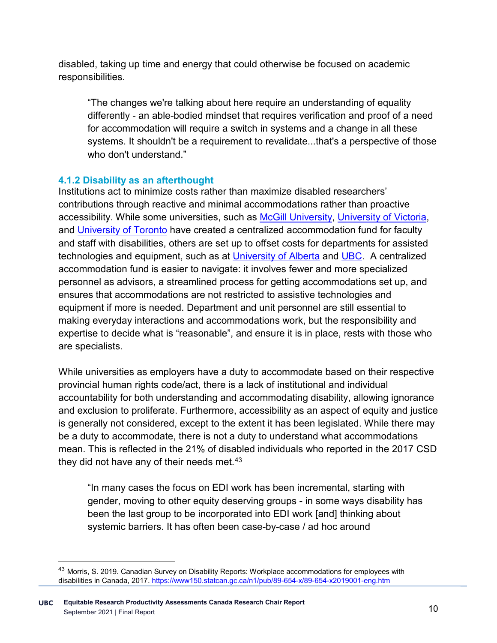disabled, taking up time and energy that could otherwise be focused on academic responsibilities.

"The changes we're talking about here require an understanding of equality differently - an able-bodied mindset that requires verification and proof of a need for accommodation will require a switch in systems and a change in all these systems. It shouldn't be a requirement to revalidate...that's a perspective of those who don't understand."

#### **4.1.2 Disability as an afterthought**

Institutions act to minimize costs rather than maximize disabled researchers' contributions through reactive and minimal accommodations rather than proactive accessibility. While some universities, such as [McGill University,](https://mcgill.ca/equity/employment-equity/central-accommodation-fund) [University of Victoria,](https://www.uvic.ca/hr/health-wellness/return-to-work/central-accommodation-fund/index.php) and [University of Toronto](https://people.utoronto.ca/inclusion/accessibility/accommodation/accommodation-guidelines-for-employees-with-disabilities/) have created a centralized accommodation fund for faculty and staff with disabilities, others are set up to offset costs for departments for assisted technologies and equipment, such as at [University of Alberta](https://www.ualberta.ca/human-resources-health-safety-environment/managing/health-and-wellness-administration/when-faculty-or-staff-members-are-sick-or-injured/reasonable-accommodation-fund.html) and [UBC.](https://facultystaff.students.ubc.ca/student-engagement/centre-accessibility/faculty-and-staff-disabilities) A centralized accommodation fund is easier to navigate: it involves fewer and more specialized personnel as advisors, a streamlined process for getting accommodations set up, and ensures that accommodations are not restricted to assistive technologies and equipment if more is needed. Department and unit personnel are still essential to making everyday interactions and accommodations work, but the responsibility and expertise to decide what is "reasonable", and ensure it is in place, rests with those who are specialists.

While universities as employers have a duty to accommodate based on their respective provincial human rights code/act, there is a lack of institutional and individual accountability for both understanding and accommodating disability, allowing ignorance and exclusion to proliferate. Furthermore, accessibility as an aspect of equity and justice is generally not considered, except to the extent it has been legislated. While there may be a duty to accommodate, there is not a duty to understand what accommodations mean. This is reflected in the 21% of disabled individuals who reported in the 2017 CSD they did not have any of their needs met.<sup>[43](#page-13-0)</sup>

"In many cases the focus on EDI work has been incremental, starting with gender, moving to other equity deserving groups - in some ways disability has been the last group to be incorporated into EDI work [and] thinking about systemic barriers. It has often been case-by-case / ad hoc around

<span id="page-13-0"></span><sup>43</sup> Morris, S. 2019. Canadian Survey on Disability Reports: Workplace accommodations for employees with disabilities in Canada, 2017.<https://www150.statcan.gc.ca/n1/pub/89-654-x/89-654-x2019001-eng.htm>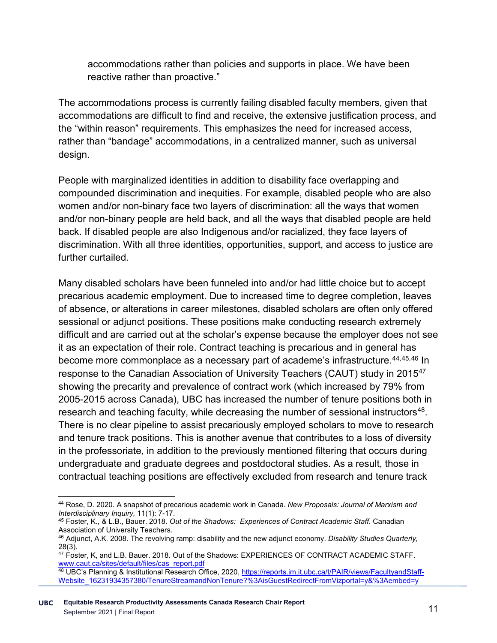accommodations rather than policies and supports in place. We have been reactive rather than proactive."

The accommodations process is currently failing disabled faculty members, given that accommodations are difficult to find and receive, the extensive justification process, and the "within reason" requirements. This emphasizes the need for increased access, rather than "bandage" accommodations, in a centralized manner, such as universal design.

People with marginalized identities in addition to disability face overlapping and compounded discrimination and inequities. For example, disabled people who are also women and/or non-binary face two layers of discrimination: all the ways that women and/or non-binary people are held back, and all the ways that disabled people are held back. If disabled people are also Indigenous and/or racialized, they face layers of discrimination. With all three identities, opportunities, support, and access to justice are further curtailed.

Many disabled scholars have been funneled into and/or had little choice but to accept precarious academic employment. Due to increased time to degree completion, leaves of absence, or alterations in career milestones, disabled scholars are often only offered sessional or adjunct positions. These positions make conducting research extremely difficult and are carried out at the scholar's expense because the employer does not see it as an expectation of their role. Contract teaching is precarious and in general has become more commonplace as a necessary part of academe's infrastructure[.44](#page-14-0),[45,](#page-14-1)[46](#page-14-2) In response to the Canadian Association of University Teachers (CAUT) study in 2015<sup>[47](#page-14-3)</sup> showing the precarity and prevalence of contract work (which increased by 79% from 2005-2015 across Canada), UBC has increased the number of tenure positions both in research and teaching faculty, while decreasing the number of sessional instructors<sup>48</sup>. There is no clear pipeline to assist precariously employed scholars to move to research and tenure track positions. This is another avenue that contributes to a loss of diversity in the professoriate, in addition to the previously mentioned filtering that occurs during undergraduate and graduate degrees and postdoctoral studies. As a result, those in contractual teaching positions are effectively excluded from research and tenure track

<span id="page-14-0"></span> <sup>44</sup> Rose, D. 2020. A snapshot of precarious academic work in Canada. *New Proposals: Journal of Marxism and* 

<span id="page-14-1"></span><sup>&</sup>lt;sup>45</sup> Foster, K., & L.B., Bauer. 2018. *Out of the Shadows: Experiences of Contract Academic Staff.* Canadian Association of University Teachers.

<span id="page-14-2"></span><sup>46</sup> Adjunct, A.K. 2008. The revolving ramp: disability and the new adjunct economy. *Disability Studies Quarterly,*  28(3).

<span id="page-14-3"></span><sup>47</sup> Foster, K, and L.B. Bauer. 2018. Out of the Shadows: EXPERIENCES OF CONTRACT ACADEMIC STAFF. [www.caut.ca/sites/default/files/cas\\_report.pdf](http://www.caut.ca/sites/default/files/cas_report.pdf)

<span id="page-14-4"></span><sup>48</sup> UBC's Planning & Institutional Research Office, 2020, [https://reports.im.it.ubc.ca/t/PAIR/views/FacultyandStaff-](https://reports.im.it.ubc.ca/t/PAIR/views/FacultyandStaff-Website_16231934357380/TenureStreamandNonTenure?%3AisGuestRedirectFromVizportal=y&%3Aembed=y)[Website\\_16231934357380/TenureStreamandNonTenure?%3AisGuestRedirectFromVizportal=y&%3Aembed=y](https://reports.im.it.ubc.ca/t/PAIR/views/FacultyandStaff-Website_16231934357380/TenureStreamandNonTenure?%3AisGuestRedirectFromVizportal=y&%3Aembed=y)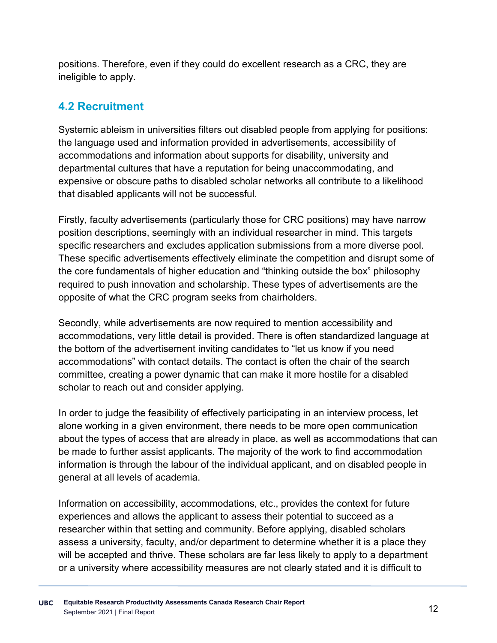positions. Therefore, even if they could do excellent research as a CRC, they are ineligible to apply.

## **4.2 Recruitment**

Systemic ableism in universities filters out disabled people from applying for positions: the language used and information provided in advertisements, accessibility of accommodations and information about supports for disability, university and departmental cultures that have a reputation for being unaccommodating, and expensive or obscure paths to disabled scholar networks all contribute to a likelihood that disabled applicants will not be successful.

Firstly, faculty advertisements (particularly those for CRC positions) may have narrow position descriptions, seemingly with an individual researcher in mind. This targets specific researchers and excludes application submissions from a more diverse pool. These specific advertisements effectively eliminate the competition and disrupt some of the core fundamentals of higher education and "thinking outside the box" philosophy required to push innovation and scholarship. These types of advertisements are the opposite of what the CRC program seeks from chairholders.

Secondly, while advertisements are now required to mention accessibility and accommodations, very little detail is provided. There is often standardized language at the bottom of the advertisement inviting candidates to "let us know if you need accommodations" with contact details. The contact is often the chair of the search committee, creating a power dynamic that can make it more hostile for a disabled scholar to reach out and consider applying.

In order to judge the feasibility of effectively participating in an interview process, let alone working in a given environment, there needs to be more open communication about the types of access that are already in place, as well as accommodations that can be made to further assist applicants. The majority of the work to find accommodation information is through the labour of the individual applicant, and on disabled people in general at all levels of academia.

Information on accessibility, accommodations, etc., provides the context for future experiences and allows the applicant to assess their potential to succeed as a researcher within that setting and community. Before applying, disabled scholars assess a university, faculty, and/or department to determine whether it is a place they will be accepted and thrive. These scholars are far less likely to apply to a department or a university where accessibility measures are not clearly stated and it is difficult to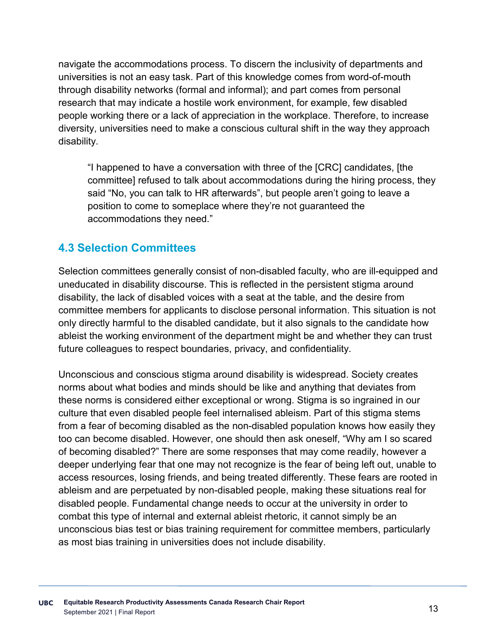navigate the accommodations process. To discern the inclusivity of departments and universities is not an easy task. Part of this knowledge comes from word-of-mouth through disability networks (formal and informal); and part comes from personal research that may indicate a hostile work environment, for example, few disabled people working there or a lack of appreciation in the workplace. Therefore, to increase diversity, universities need to make a conscious cultural shift in the way they approach disability.

"I happened to have a conversation with three of the [CRC] candidates, [the committee] refused to talk about accommodations during the hiring process, they said "No, you can talk to HR afterwards", but people aren't going to leave a position to come to someplace where they're not guaranteed the accommodations they need."

### **4.3 Selection Committees**

Selection committees generally consist of non-disabled faculty, who are ill-equipped and uneducated in disability discourse. This is reflected in the persistent stigma around disability, the lack of disabled voices with a seat at the table, and the desire from committee members for applicants to disclose personal information. This situation is not only directly harmful to the disabled candidate, but it also signals to the candidate how ableist the working environment of the department might be and whether they can trust future colleagues to respect boundaries, privacy, and confidentiality.

Unconscious and conscious stigma around disability is widespread. Society creates norms about what bodies and minds should be like and anything that deviates from these norms is considered either exceptional or wrong. Stigma is so ingrained in our culture that even disabled people feel internalised ableism. Part of this stigma stems from a fear of becoming disabled as the non-disabled population knows how easily they too can become disabled. However, one should then ask oneself, "Why am I so scared of becoming disabled?" There are some responses that may come readily, however a deeper underlying fear that one may not recognize is the fear of being left out, unable to access resources, losing friends, and being treated differently. These fears are rooted in ableism and are perpetuated by non-disabled people, making these situations real for disabled people. Fundamental change needs to occur at the university in order to combat this type of internal and external ableist rhetoric, it cannot simply be an unconscious bias test or bias training requirement for committee members, particularly as most bias training in universities does not include disability.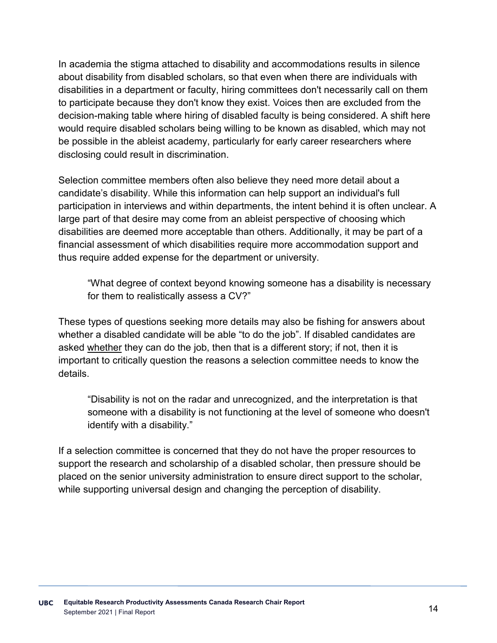In academia the stigma attached to disability and accommodations results in silence about disability from disabled scholars, so that even when there are individuals with disabilities in a department or faculty, hiring committees don't necessarily call on them to participate because they don't know they exist. Voices then are excluded from the decision-making table where hiring of disabled faculty is being considered. A shift here would require disabled scholars being willing to be known as disabled, which may not be possible in the ableist academy, particularly for early career researchers where disclosing could result in discrimination.

Selection committee members often also believe they need more detail about a candidate's disability. While this information can help support an individual's full participation in interviews and within departments, the intent behind it is often unclear. A large part of that desire may come from an ableist perspective of choosing which disabilities are deemed more acceptable than others. Additionally, it may be part of a financial assessment of which disabilities require more accommodation support and thus require added expense for the department or university.

"What degree of context beyond knowing someone has a disability is necessary for them to realistically assess a CV?"

These types of questions seeking more details may also be fishing for answers about whether a disabled candidate will be able "to do the job". If disabled candidates are asked whether they can do the job, then that is a different story; if not, then it is important to critically question the reasons a selection committee needs to know the details.

"Disability is not on the radar and unrecognized, and the interpretation is that someone with a disability is not functioning at the level of someone who doesn't identify with a disability."

If a selection committee is concerned that they do not have the proper resources to support the research and scholarship of a disabled scholar, then pressure should be placed on the senior university administration to ensure direct support to the scholar, while supporting universal design and changing the perception of disability.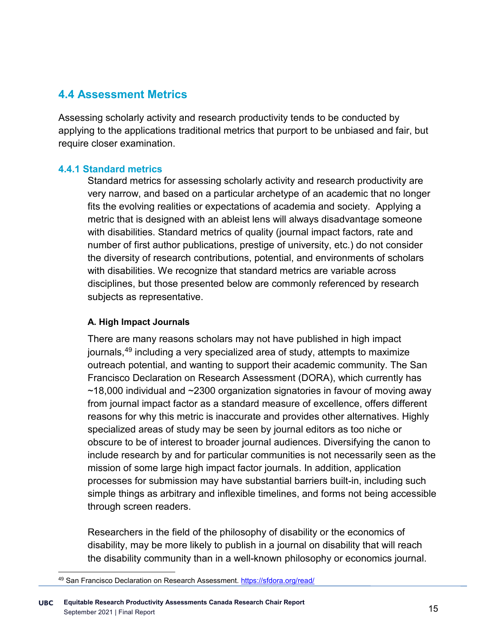#### **4.4 Assessment Metrics**

Assessing scholarly activity and research productivity tends to be conducted by applying to the applications traditional metrics that purport to be unbiased and fair, but require closer examination.

#### **4.4.1 Standard metrics**

Standard metrics for assessing scholarly activity and research productivity are very narrow, and based on a particular archetype of an academic that no longer fits the evolving realities or expectations of academia and society. Applying a metric that is designed with an ableist lens will always disadvantage someone with disabilities. Standard metrics of quality (journal impact factors, rate and number of first author publications, prestige of university, etc.) do not consider the diversity of research contributions, potential, and environments of scholars with disabilities. We recognize that standard metrics are variable across disciplines, but those presented below are commonly referenced by research subjects as representative.

#### **A. High Impact Journals**

There are many reasons scholars may not have published in high impact journals,<sup>[49](#page-18-0)</sup> including a very specialized area of study, attempts to maximize outreach potential, and wanting to support their academic community. The San Francisco Declaration on Research Assessment (DORA), which currently has ~18,000 individual and ~2300 organization signatories in favour of moving away from journal impact factor as a standard measure of excellence, offers different reasons for why this metric is inaccurate and provides other alternatives. Highly specialized areas of study may be seen by journal editors as too niche or obscure to be of interest to broader journal audiences. Diversifying the canon to include research by and for particular communities is not necessarily seen as the mission of some large high impact factor journals. In addition, application processes for submission may have substantial barriers built-in, including such simple things as arbitrary and inflexible timelines, and forms not being accessible through screen readers.

Researchers in the field of the philosophy of disability or the economics of disability, may be more likely to publish in a journal on disability that will reach the disability community than in a well-known philosophy or economics journal.

 <sup>49</sup> San Francisco Declaration on Research Assessment.<https://sfdora.org/read/>

<span id="page-18-0"></span>**UBC** <sup>15</sup> **Equitable Research Productivity Assessments Canada Research Chair Report** September 2021 | Final Report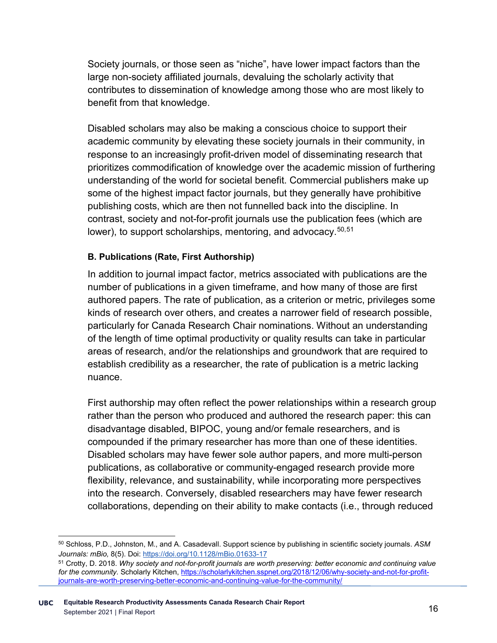Society journals, or those seen as "niche", have lower impact factors than the large non-society affiliated journals, devaluing the scholarly activity that contributes to dissemination of knowledge among those who are most likely to benefit from that knowledge.

Disabled scholars may also be making a conscious choice to support their academic community by elevating these society journals in their community, in response to an increasingly profit-driven model of disseminating research that prioritizes commodification of knowledge over the academic mission of furthering understanding of the world for societal benefit. Commercial publishers make up some of the highest impact factor journals, but they generally have prohibitive publishing costs, which are then not funnelled back into the discipline. In contrast, society and not-for-profit journals use the publication fees (which are lower), to support scholarships, mentoring, and advocacy. [50](#page-19-0),[51](#page-19-1)

#### **B. Publications (Rate, First Authorship)**

In addition to journal impact factor, metrics associated with publications are the number of publications in a given timeframe, and how many of those are first authored papers. The rate of publication, as a criterion or metric, privileges some kinds of research over others, and creates a narrower field of research possible, particularly for Canada Research Chair nominations. Without an understanding of the length of time optimal productivity or quality results can take in particular areas of research, and/or the relationships and groundwork that are required to establish credibility as a researcher, the rate of publication is a metric lacking nuance.

First authorship may often reflect the power relationships within a research group rather than the person who produced and authored the research paper: this can disadvantage disabled, BIPOC, young and/or female researchers, and is compounded if the primary researcher has more than one of these identities. Disabled scholars may have fewer sole author papers, and more multi-person publications, as collaborative or community-engaged research provide more flexibility, relevance, and sustainability, while incorporating more perspectives into the research. Conversely, disabled researchers may have fewer research collaborations, depending on their ability to make contacts (i.e., through reduced

<span id="page-19-0"></span> <sup>50</sup> Schloss, P.D., Johnston, M., and A. Casadevall. Support science by publishing in scientific society journals. *ASM Journals: mBio,* 8(5). Doi:<https://doi.org/10.1128/mBio.01633-17>

<span id="page-19-1"></span><sup>51</sup> Crotty, D. 2018. *Why society and not-for-profit journals are worth preserving: better economic and continuing value for the community.* Scholarly Kitchen, [https://scholarlykitchen.sspnet.org/2018/12/06/why-society-and-not-for-profit](https://scholarlykitchen.sspnet.org/2018/12/06/why-society-and-not-for-profit-journals-are-worth-preserving-better-economic-and-continuing-value-for-the-community/)[journals-are-worth-preserving-better-economic-and-continuing-value-for-the-community/](https://scholarlykitchen.sspnet.org/2018/12/06/why-society-and-not-for-profit-journals-are-worth-preserving-better-economic-and-continuing-value-for-the-community/)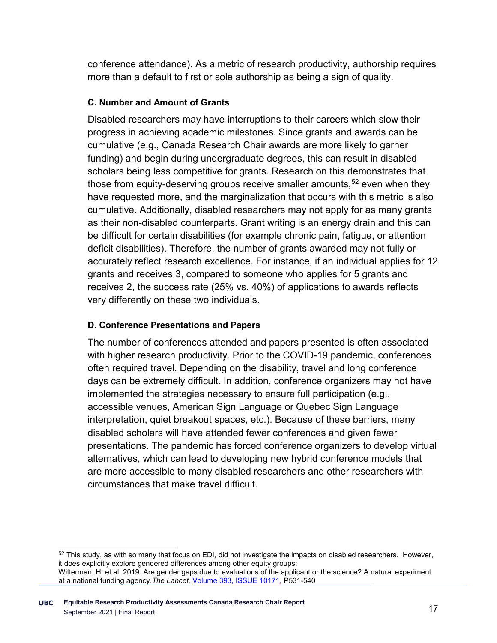conference attendance). As a metric of research productivity, authorship requires more than a default to first or sole authorship as being a sign of quality.

#### **C. Number and Amount of Grants**

Disabled researchers may have interruptions to their careers which slow their progress in achieving academic milestones. Since grants and awards can be cumulative (e.g., Canada Research Chair awards are more likely to garner funding) and begin during undergraduate degrees, this can result in disabled scholars being less competitive for grants. Research on this demonstrates that those from equity-deserving groups receive smaller amounts,  $52$  even when they have requested more, and the marginalization that occurs with this metric is also cumulative. Additionally, disabled researchers may not apply for as many grants as their non-disabled counterparts. Grant writing is an energy drain and this can be difficult for certain disabilities (for example chronic pain, fatigue, or attention deficit disabilities). Therefore, the number of grants awarded may not fully or accurately reflect research excellence. For instance, if an individual applies for 12 grants and receives 3, compared to someone who applies for 5 grants and receives 2, the success rate (25% vs. 40%) of applications to awards reflects very differently on these two individuals.

#### **D. Conference Presentations and Papers**

The number of conferences attended and papers presented is often associated with higher research productivity. Prior to the COVID-19 pandemic, conferences often required travel. Depending on the disability, travel and long conference days can be extremely difficult. In addition, conference organizers may not have implemented the strategies necessary to ensure full participation (e.g., accessible venues, American Sign Language or Quebec Sign Language interpretation, quiet breakout spaces, etc.). Because of these barriers, many disabled scholars will have attended fewer conferences and given fewer presentations. The pandemic has forced conference organizers to develop virtual alternatives, which can lead to developing new hybrid conference models that are more accessible to many disabled researchers and other researchers with circumstances that make travel difficult.

<span id="page-20-0"></span> $52$  This study, as with so many that focus on EDI, did not investigate the impacts on disabled researchers. However, it does explicitly explore gendered differences among other equity groups:

Witterman, H. et al. 2019. Are gender gaps due to evaluations of the applicant or the science? A natural experiment at a national funding agency.*The Lancet,* [Volume 393, ISSUE 10171,](https://www.thelancet.com/journals/lancet/issue/vol393no10171/PIIS0140-6736(19)X0006-9) P531-540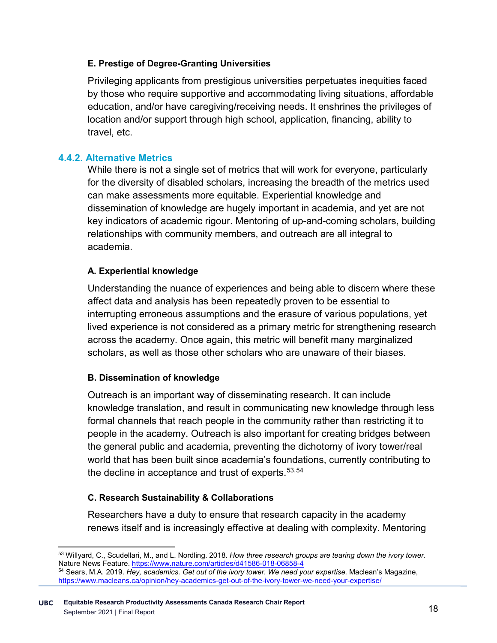#### **E. Prestige of Degree-Granting Universities**

Privileging applicants from prestigious universities perpetuates inequities faced by those who require supportive and accommodating living situations, affordable education, and/or have caregiving/receiving needs. It enshrines the privileges of location and/or support through high school, application, financing, ability to travel, etc.

#### **4.4.2. Alternative Metrics**

While there is not a single set of metrics that will work for everyone, particularly for the diversity of disabled scholars, increasing the breadth of the metrics used can make assessments more equitable. Experiential knowledge and dissemination of knowledge are hugely important in academia, and yet are not key indicators of academic rigour. Mentoring of up-and-coming scholars, building relationships with community members, and outreach are all integral to academia.

#### **A. Experiential knowledge**

Understanding the nuance of experiences and being able to discern where these affect data and analysis has been repeatedly proven to be essential to interrupting erroneous assumptions and the erasure of various populations, yet lived experience is not considered as a primary metric for strengthening research across the academy. Once again, this metric will benefit many marginalized scholars, as well as those other scholars who are unaware of their biases.

#### **B. Dissemination of knowledge**

Outreach is an important way of disseminating research. It can include knowledge translation, and result in communicating new knowledge through less formal channels that reach people in the community rather than restricting it to people in the academy. Outreach is also important for creating bridges between the general public and academia, preventing the dichotomy of ivory tower/real world that has been built since academia's foundations, currently contributing to the decline in acceptance and trust of experts.  $53,54$  $53,54$  $53,54$ 

#### **C. Research Sustainability & Collaborations**

Researchers have a duty to ensure that research capacity in the academy renews itself and is increasingly effective at dealing with complexity. Mentoring

<span id="page-21-0"></span> <sup>53</sup> Willyard, C., Scudellari, M., and L. Nordling. 2018. *How three research groups are tearing down the ivory tower*. Nature News Feature[. https://www.nature.com/articles/d41586-018-06858-4](https://www.nature.com/articles/d41586-018-06858-4)

<span id="page-21-1"></span><sup>54</sup> Sears, M.A. 2019. *Hey, academics. Get out of the ivory tower. We need your expertise.* Maclean's Magazine, <https://www.macleans.ca/opinion/hey-academics-get-out-of-the-ivory-tower-we-need-your-expertise/>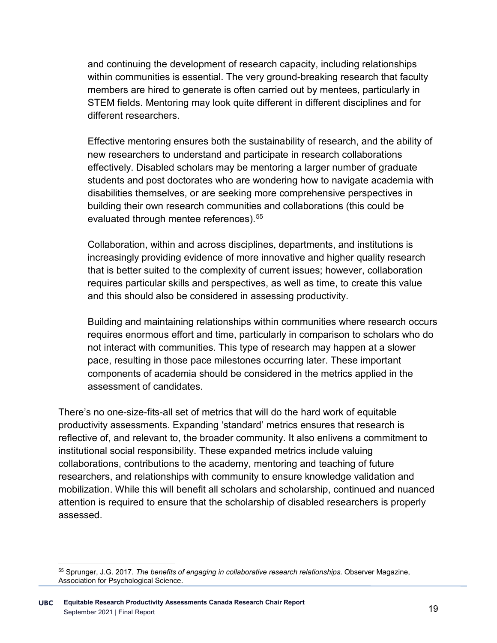and continuing the development of research capacity, including relationships within communities is essential. The very ground-breaking research that faculty members are hired to generate is often carried out by mentees, particularly in STEM fields. Mentoring may look quite different in different disciplines and for different researchers.

Effective mentoring ensures both the sustainability of research, and the ability of new researchers to understand and participate in research collaborations effectively. Disabled scholars may be mentoring a larger number of graduate students and post doctorates who are wondering how to navigate academia with disabilities themselves, or are seeking more comprehensive perspectives in building their own research communities and collaborations (this could be evaluated through mentee references).<sup>[55](#page-22-0)</sup>

Collaboration, within and across disciplines, departments, and institutions is increasingly providing evidence of more innovative and higher quality research that is better suited to the complexity of current issues; however, collaboration requires particular skills and perspectives, as well as time, to create this value and this should also be considered in assessing productivity.

Building and maintaining relationships within communities where research occurs requires enormous effort and time, particularly in comparison to scholars who do not interact with communities. This type of research may happen at a slower pace, resulting in those pace milestones occurring later. These important components of academia should be considered in the metrics applied in the assessment of candidates.

There's no one-size-fits-all set of metrics that will do the hard work of equitable productivity assessments. Expanding 'standard' metrics ensures that research is reflective of, and relevant to, the broader community. It also enlivens a commitment to institutional social responsibility. These expanded metrics include valuing collaborations, contributions to the academy, mentoring and teaching of future researchers, and relationships with community to ensure knowledge validation and mobilization. While this will benefit all scholars and scholarship, continued and nuanced attention is required to ensure that the scholarship of disabled researchers is properly assessed.

<span id="page-22-0"></span> <sup>55</sup> Sprunger, J.G. 2017. *The benefits of engaging in collaborative research relationships.* Observer Magazine, Association for Psychological Science.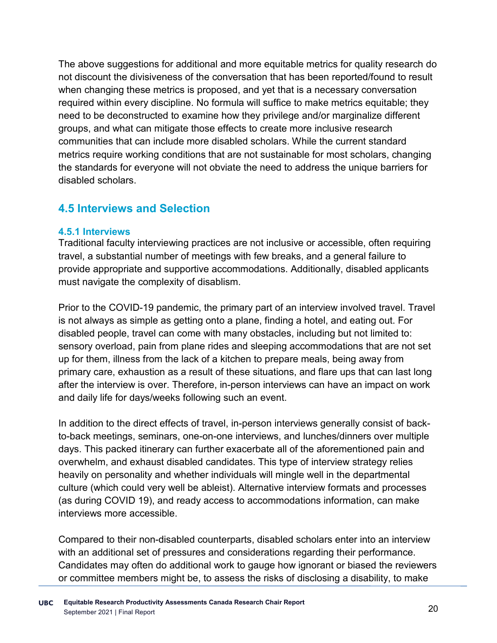The above suggestions for additional and more equitable metrics for quality research do not discount the divisiveness of the conversation that has been reported/found to result when changing these metrics is proposed, and yet that is a necessary conversation required within every discipline. No formula will suffice to make metrics equitable; they need to be deconstructed to examine how they privilege and/or marginalize different groups, and what can mitigate those effects to create more inclusive research communities that can include more disabled scholars. While the current standard metrics require working conditions that are not sustainable for most scholars, changing the standards for everyone will not obviate the need to address the unique barriers for disabled scholars.

#### **4.5 Interviews and Selection**

#### **4.5.1 Interviews**

Traditional faculty interviewing practices are not inclusive or accessible, often requiring travel, a substantial number of meetings with few breaks, and a general failure to provide appropriate and supportive accommodations. Additionally, disabled applicants must navigate the complexity of disablism.

Prior to the COVID-19 pandemic, the primary part of an interview involved travel. Travel is not always as simple as getting onto a plane, finding a hotel, and eating out. For disabled people, travel can come with many obstacles, including but not limited to: sensory overload, pain from plane rides and sleeping accommodations that are not set up for them, illness from the lack of a kitchen to prepare meals, being away from primary care, exhaustion as a result of these situations, and flare ups that can last long after the interview is over. Therefore, in-person interviews can have an impact on work and daily life for days/weeks following such an event.

In addition to the direct effects of travel, in-person interviews generally consist of backto-back meetings, seminars, one-on-one interviews, and lunches/dinners over multiple days. This packed itinerary can further exacerbate all of the aforementioned pain and overwhelm, and exhaust disabled candidates. This type of interview strategy relies heavily on personality and whether individuals will mingle well in the departmental culture (which could very well be ableist). Alternative interview formats and processes (as during COVID 19), and ready access to accommodations information, can make interviews more accessible.

Compared to their non-disabled counterparts, disabled scholars enter into an interview with an additional set of pressures and considerations regarding their performance. Candidates may often do additional work to gauge how ignorant or biased the reviewers or committee members might be, to assess the risks of disclosing a disability, to make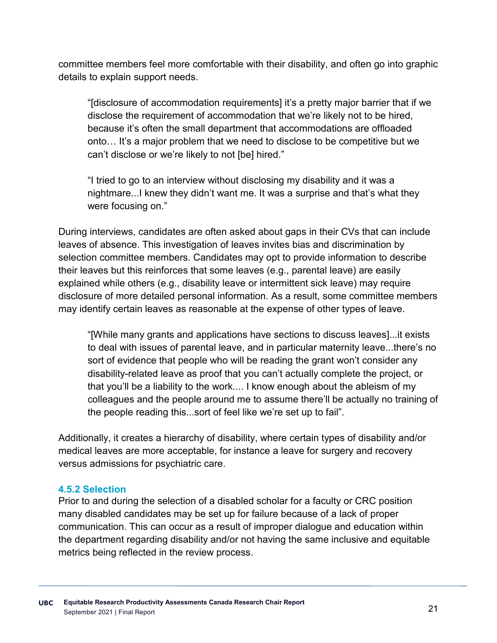committee members feel more comfortable with their disability, and often go into graphic details to explain support needs.

"[disclosure of accommodation requirements] it's a pretty major barrier that if we disclose the requirement of accommodation that we're likely not to be hired, because it's often the small department that accommodations are offloaded onto… It's a major problem that we need to disclose to be competitive but we can't disclose or we're likely to not [be] hired."

"I tried to go to an interview without disclosing my disability and it was a nightmare...I knew they didn't want me. It was a surprise and that's what they were focusing on."

During interviews, candidates are often asked about gaps in their CVs that can include leaves of absence. This investigation of leaves invites bias and discrimination by selection committee members. Candidates may opt to provide information to describe their leaves but this reinforces that some leaves (e.g., parental leave) are easily explained while others (e.g., disability leave or intermittent sick leave) may require disclosure of more detailed personal information. As a result, some committee members may identify certain leaves as reasonable at the expense of other types of leave.

"[While many grants and applications have sections to discuss leaves]...it exists to deal with issues of parental leave, and in particular maternity leave...there's no sort of evidence that people who will be reading the grant won't consider any disability-related leave as proof that you can't actually complete the project, or that you'll be a liability to the work.... I know enough about the ableism of my colleagues and the people around me to assume there'll be actually no training of the people reading this...sort of feel like we're set up to fail".

Additionally, it creates a hierarchy of disability, where certain types of disability and/or medical leaves are more acceptable, for instance a leave for surgery and recovery versus admissions for psychiatric care.

#### **4.5.2 Selection**

Prior to and during the selection of a disabled scholar for a faculty or CRC position many disabled candidates may be set up for failure because of a lack of proper communication. This can occur as a result of improper dialogue and education within the department regarding disability and/or not having the same inclusive and equitable metrics being reflected in the review process.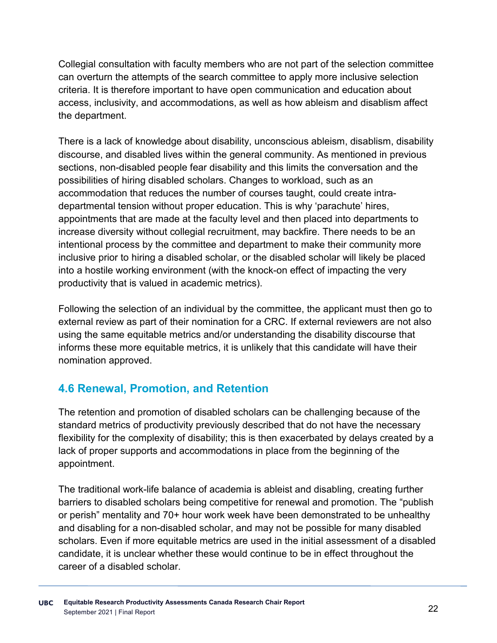Collegial consultation with faculty members who are not part of the selection committee can overturn the attempts of the search committee to apply more inclusive selection criteria. It is therefore important to have open communication and education about access, inclusivity, and accommodations, as well as how ableism and disablism affect the department.

There is a lack of knowledge about disability, unconscious ableism, disablism, disability discourse, and disabled lives within the general community. As mentioned in previous sections, non-disabled people fear disability and this limits the conversation and the possibilities of hiring disabled scholars. Changes to workload, such as an accommodation that reduces the number of courses taught, could create intradepartmental tension without proper education. This is why 'parachute' hires, appointments that are made at the faculty level and then placed into departments to increase diversity without collegial recruitment, may backfire. There needs to be an intentional process by the committee and department to make their community more inclusive prior to hiring a disabled scholar, or the disabled scholar will likely be placed into a hostile working environment (with the knock-on effect of impacting the very productivity that is valued in academic metrics).

Following the selection of an individual by the committee, the applicant must then go to external review as part of their nomination for a CRC. If external reviewers are not also using the same equitable metrics and/or understanding the disability discourse that informs these more equitable metrics, it is unlikely that this candidate will have their nomination approved.

### **4.6 Renewal, Promotion, and Retention**

The retention and promotion of disabled scholars can be challenging because of the standard metrics of productivity previously described that do not have the necessary flexibility for the complexity of disability; this is then exacerbated by delays created by a lack of proper supports and accommodations in place from the beginning of the appointment.

The traditional work-life balance of academia is ableist and disabling, creating further barriers to disabled scholars being competitive for renewal and promotion. The "publish or perish" mentality and 70+ hour work week have been demonstrated to be unhealthy and disabling for a non-disabled scholar, and may not be possible for many disabled scholars. Even if more equitable metrics are used in the initial assessment of a disabled candidate, it is unclear whether these would continue to be in effect throughout the career of a disabled scholar.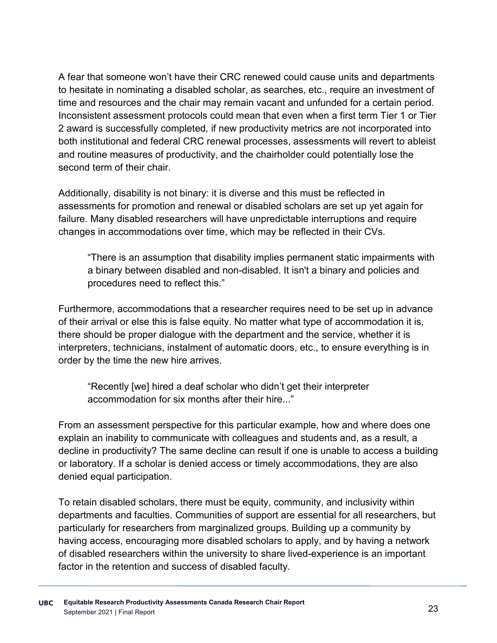A fear that someone won't have their CRC renewed could cause units and departments to hesitate in nominating a disabled scholar, as searches, etc., require an investment of time and resources and the chair may remain vacant and unfunded for a certain period. Inconsistent assessment protocols could mean that even when a first term Tier 1 or Tier 2 award is successfully completed*,* if new productivity metrics are not incorporated into both institutional and federal CRC renewal processes, assessments will revert to ableist and routine measures of productivity, and the chairholder could potentially lose the second term of their chair

Additionally, disability is not binary: it is diverse and this must be reflected in assessments for promotion and renewal or disabled scholars are set up yet again for failure. Many disabled researchers will have unpredictable interruptions and require changes in accommodations over time, which may be reflected in their CVs.

"There is an assumption that disability implies permanent static impairments with a binary between disabled and non-disabled. It isn't a binary and policies and procedures need to reflect this."

Furthermore, accommodations that a researcher requires need to be set up in advance of their arrival or else this is false equity. No matter what type of accommodation it is, there should be proper dialogue with the department and the service, whether it is interpreters, technicians, instalment of automatic doors, etc., to ensure everything is in order by the time the new hire arrives.

"Recently [we] hired a deaf scholar who didn't get their interpreter accommodation for six months after their hire..."

From an assessment perspective for this particular example, how and where does one explain an inability to communicate with colleagues and students and, as a result, a decline in productivity? The same decline can result if one is unable to access a building or laboratory. If a scholar is denied access or timely accommodations, they are also denied equal participation.

To retain disabled scholars, there must be equity, community, and inclusivity within departments and faculties. Communities of support are essential for all researchers, but particularly for researchers from marginalized groups. Building up a community by having access, encouraging more disabled scholars to apply, and by having a network of disabled researchers within the university to share lived-experience is an important factor in the retention and success of disabled faculty.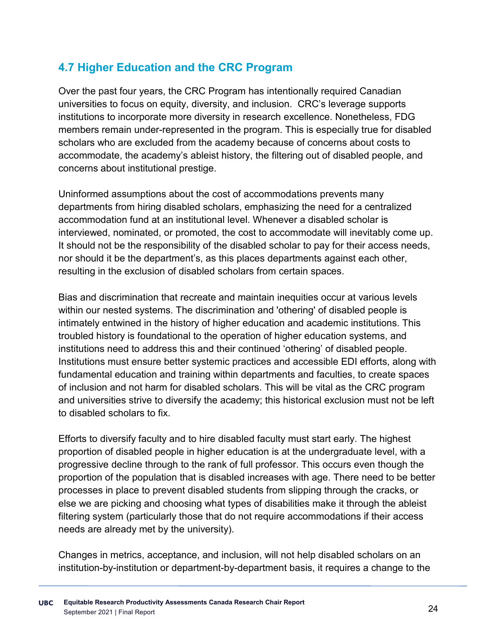## **4.7 Higher Education and the CRC Program**

Over the past four years, the CRC Program has intentionally required Canadian universities to focus on equity, diversity, and inclusion. CRC's leverage supports institutions to incorporate more diversity in research excellence. Nonetheless, FDG members remain under-represented in the program. This is especially true for disabled scholars who are excluded from the academy because of concerns about costs to accommodate, the academy's ableist history, the filtering out of disabled people, and concerns about institutional prestige.

Uninformed assumptions about the cost of accommodations prevents many departments from hiring disabled scholars, emphasizing the need for a centralized accommodation fund at an institutional level. Whenever a disabled scholar is interviewed, nominated, or promoted, the cost to accommodate will inevitably come up. It should not be the responsibility of the disabled scholar to pay for their access needs, nor should it be the department's, as this places departments against each other, resulting in the exclusion of disabled scholars from certain spaces.

Bias and discrimination that recreate and maintain inequities occur at various levels within our nested systems. The discrimination and 'othering' of disabled people is intimately entwined in the history of higher education and academic institutions. This troubled history is foundational to the operation of higher education systems, and institutions need to address this and their continued 'othering' of disabled people. Institutions must ensure better systemic practices and accessible EDI efforts, along with fundamental education and training within departments and faculties, to create spaces of inclusion and not harm for disabled scholars. This will be vital as the CRC program and universities strive to diversify the academy; this historical exclusion must not be left to disabled scholars to fix.

Efforts to diversify faculty and to hire disabled faculty must start early. The highest proportion of disabled people in higher education is at the undergraduate level, with a progressive decline through to the rank of full professor. This occurs even though the proportion of the population that is disabled increases with age. There need to be better processes in place to prevent disabled students from slipping through the cracks, or else we are picking and choosing what types of disabilities make it through the ableist filtering system (particularly those that do not require accommodations if their access needs are already met by the university).

Changes in metrics, acceptance, and inclusion, will not help disabled scholars on an institution-by-institution or department-by-department basis, it requires a change to the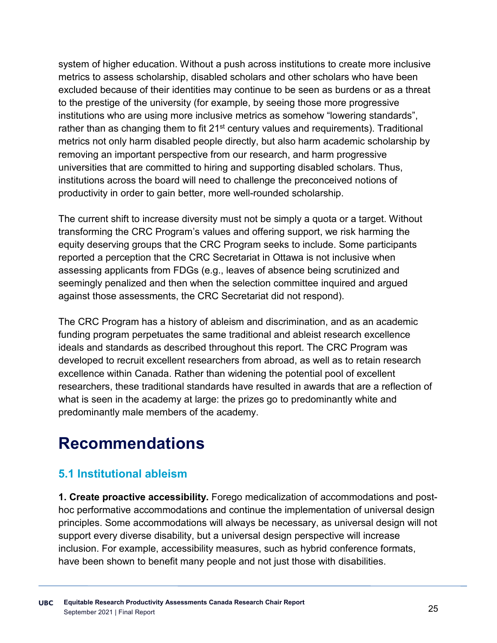system of higher education. Without a push across institutions to create more inclusive metrics to assess scholarship, disabled scholars and other scholars who have been excluded because of their identities may continue to be seen as burdens or as a threat to the prestige of the university (for example, by seeing those more progressive institutions who are using more inclusive metrics as somehow "lowering standards", rather than as changing them to fit  $21<sup>st</sup>$  century values and requirements). Traditional metrics not only harm disabled people directly, but also harm academic scholarship by removing an important perspective from our research, and harm progressive universities that are committed to hiring and supporting disabled scholars. Thus, institutions across the board will need to challenge the preconceived notions of productivity in order to gain better, more well-rounded scholarship.

The current shift to increase diversity must not be simply a quota or a target. Without transforming the CRC Program's values and offering support, we risk harming the equity deserving groups that the CRC Program seeks to include. Some participants reported a perception that the CRC Secretariat in Ottawa is not inclusive when assessing applicants from FDGs (e.g., leaves of absence being scrutinized and seemingly penalized and then when the selection committee inquired and argued against those assessments, the CRC Secretariat did not respond).

The CRC Program has a history of ableism and discrimination, and as an academic funding program perpetuates the same traditional and ableist research excellence ideals and standards as described throughout this report. The CRC Program was developed to recruit excellent researchers from abroad, as well as to retain research excellence within Canada. Rather than widening the potential pool of excellent researchers, these traditional standards have resulted in awards that are a reflection of what is seen in the academy at large: the prizes go to predominantly white and predominantly male members of the academy.

# **Recommendations**

### **5.1 Institutional ableism**

**1. Create proactive accessibility.** Forego medicalization of accommodations and posthoc performative accommodations and continue the implementation of universal design principles. Some accommodations will always be necessary, as universal design will not support every diverse disability, but a universal design perspective will increase inclusion. For example, accessibility measures, such as hybrid conference formats, have been shown to benefit many people and not just those with disabilities.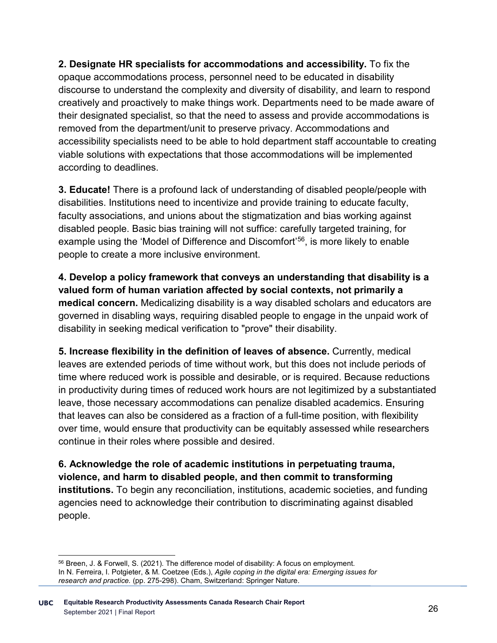**2. Designate HR specialists for accommodations and accessibility.** To fix the opaque accommodations process, personnel need to be educated in disability discourse to understand the complexity and diversity of disability, and learn to respond creatively and proactively to make things work. Departments need to be made aware of their designated specialist, so that the need to assess and provide accommodations is removed from the department/unit to preserve privacy. Accommodations and accessibility specialists need to be able to hold department staff accountable to creating viable solutions with expectations that those accommodations will be implemented according to deadlines.

**3. Educate!** There is a profound lack of understanding of disabled people/people with disabilities. Institutions need to incentivize and provide training to educate faculty, faculty associations, and unions about the stigmatization and bias working against disabled people. Basic bias training will not suffice: carefully targeted training, for example using the 'Model of Difference and Discomfort'[56,](#page-29-0) is more likely to enable people to create a more inclusive environment.

**4. Develop a policy framework that conveys an understanding that disability is a valued form of human variation affected by social contexts, not primarily a medical concern.** Medicalizing disability is a way disabled scholars and educators are governed in disabling ways, requiring disabled people to engage in the unpaid work of disability in seeking medical verification to "prove" their disability.

**5. Increase flexibility in the definition of leaves of absence.** Currently, medical leaves are extended periods of time without work, but this does not include periods of time where reduced work is possible and desirable, or is required. Because reductions in productivity during times of reduced work hours are not legitimized by a substantiated leave, those necessary accommodations can penalize disabled academics. Ensuring that leaves can also be considered as a fraction of a full-time position, with flexibility over time, would ensure that productivity can be equitably assessed while researchers continue in their roles where possible and desired.

**6. Acknowledge the role of academic institutions in perpetuating trauma, violence, and harm to disabled people, and then commit to transforming institutions.** To begin any reconciliation, institutions, academic societies, and funding agencies need to acknowledge their contribution to discriminating against disabled people.

<span id="page-29-0"></span> <sup>56</sup> Breen, J. & Forwell, S. (2021). The difference model of disability: A focus on employment. In N. Ferreira, I. Potgieter, & M. Coetzee (Eds.), *Agile coping in the digital era: Emerging issues for research and practice.* (pp. 275-298). Cham, Switzerland: Springer Nature.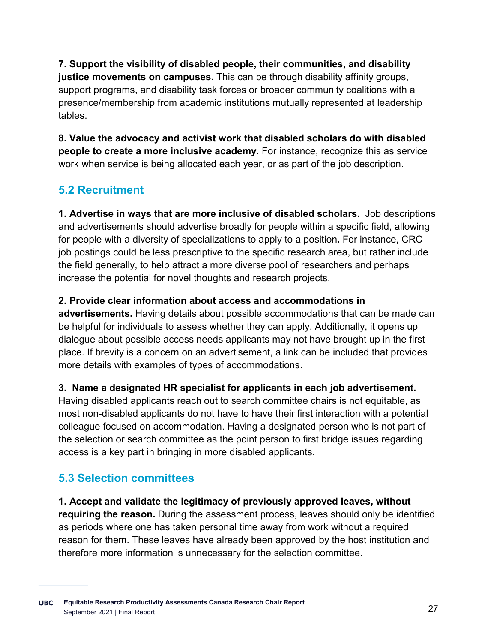**7. Support the visibility of disabled people, their communities, and disability justice movements on campuses.** This can be through disability affinity groups, support programs, and disability task forces or broader community coalitions with a presence/membership from academic institutions mutually represented at leadership tables.

**8. Value the advocacy and activist work that disabled scholars do with disabled people to create a more inclusive academy.** For instance, recognize this as service work when service is being allocated each year, or as part of the job description.

# **5.2 Recruitment**

**1. Advertise in ways that are more inclusive of disabled scholars.** Job descriptions and advertisements should advertise broadly for people within a specific field, allowing for people with a diversity of specializations to apply to a position**.** For instance, CRC job postings could be less prescriptive to the specific research area, but rather include the field generally, to help attract a more diverse pool of researchers and perhaps increase the potential for novel thoughts and research projects.

#### **2. Provide clear information about access and accommodations in**

**advertisements.** Having details about possible accommodations that can be made can be helpful for individuals to assess whether they can apply. Additionally, it opens up dialogue about possible access needs applicants may not have brought up in the first place. If brevity is a concern on an advertisement, a link can be included that provides more details with examples of types of accommodations.

#### **3. Name a designated HR specialist for applicants in each job advertisement.**

Having disabled applicants reach out to search committee chairs is not equitable, as most non-disabled applicants do not have to have their first interaction with a potential colleague focused on accommodation. Having a designated person who is not part of the selection or search committee as the point person to first bridge issues regarding access is a key part in bringing in more disabled applicants.

### **5.3 Selection committees**

**1. Accept and validate the legitimacy of previously approved leaves, without requiring the reason.** During the assessment process, leaves should only be identified as periods where one has taken personal time away from work without a required reason for them. These leaves have already been approved by the host institution and therefore more information is unnecessary for the selection committee.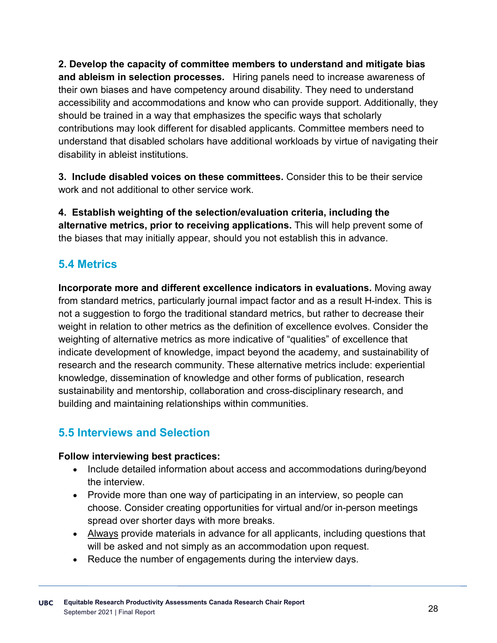**2. Develop the capacity of committee members to understand and mitigate bias and ableism in selection processes.** Hiring panels need to increase awareness of their own biases and have competency around disability. They need to understand accessibility and accommodations and know who can provide support. Additionally, they should be trained in a way that emphasizes the specific ways that scholarly contributions may look different for disabled applicants. Committee members need to understand that disabled scholars have additional workloads by virtue of navigating their disability in ableist institutions.

**3. Include disabled voices on these committees.** Consider this to be their service work and not additional to other service work.

**4. Establish weighting of the selection/evaluation criteria, including the alternative metrics, prior to receiving applications.** This will help prevent some of the biases that may initially appear, should you not establish this in advance.

# **5.4 Metrics**

**Incorporate more and different excellence indicators in evaluations.** Moving away from standard metrics, particularly journal impact factor and as a result H-index. This is not a suggestion to forgo the traditional standard metrics, but rather to decrease their weight in relation to other metrics as the definition of excellence evolves. Consider the weighting of alternative metrics as more indicative of "qualities" of excellence that indicate development of knowledge, impact beyond the academy, and sustainability of research and the research community. These alternative metrics include: experiential knowledge, dissemination of knowledge and other forms of publication, research sustainability and mentorship, collaboration and cross-disciplinary research, and building and maintaining relationships within communities.

# **5.5 Interviews and Selection**

#### **Follow interviewing best practices:**

- Include detailed information about access and accommodations during/beyond the interview.
- Provide more than one way of participating in an interview, so people can choose. Consider creating opportunities for virtual and/or in-person meetings spread over shorter days with more breaks.
- Always provide materials in advance for all applicants, including questions that will be asked and not simply as an accommodation upon request.
- Reduce the number of engagements during the interview days.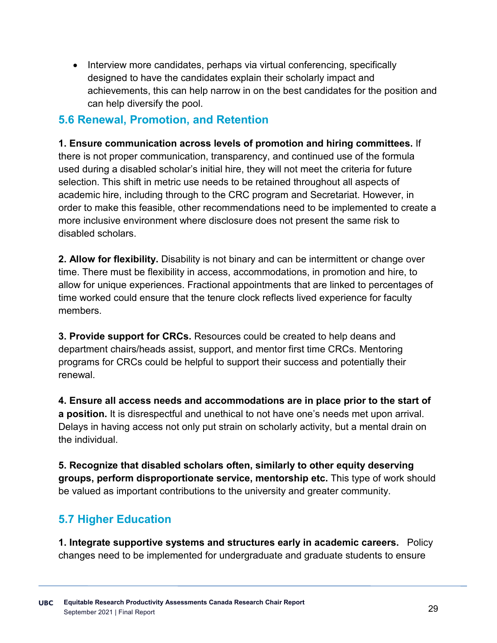• Interview more candidates, perhaps via virtual conferencing, specifically designed to have the candidates explain their scholarly impact and achievements, this can help narrow in on the best candidates for the position and can help diversify the pool.

### **5.6 Renewal, Promotion, and Retention**

#### **1. Ensure communication across levels of promotion and hiring committees.** If

there is not proper communication, transparency, and continued use of the formula used during a disabled scholar's initial hire, they will not meet the criteria for future selection. This shift in metric use needs to be retained throughout all aspects of academic hire, including through to the CRC program and Secretariat. However, in order to make this feasible, other recommendations need to be implemented to create a more inclusive environment where disclosure does not present the same risk to disabled scholars.

**2. Allow for flexibility.** Disability is not binary and can be intermittent or change over time. There must be flexibility in access, accommodations, in promotion and hire, to allow for unique experiences. Fractional appointments that are linked to percentages of time worked could ensure that the tenure clock reflects lived experience for faculty members.

**3. Provide support for CRCs.** Resources could be created to help deans and department chairs/heads assist, support, and mentor first time CRCs. Mentoring programs for CRCs could be helpful to support their success and potentially their renewal.

**4. Ensure all access needs and accommodations are in place prior to the start of a position.** It is disrespectful and unethical to not have one's needs met upon arrival. Delays in having access not only put strain on scholarly activity, but a mental drain on the individual.

**5. Recognize that disabled scholars often, similarly to other equity deserving groups, perform disproportionate service, mentorship etc.** This type of work should be valued as important contributions to the university and greater community.

### **5.7 Higher Education**

**1. Integrate supportive systems and structures early in academic careers.** Policy changes need to be implemented for undergraduate and graduate students to ensure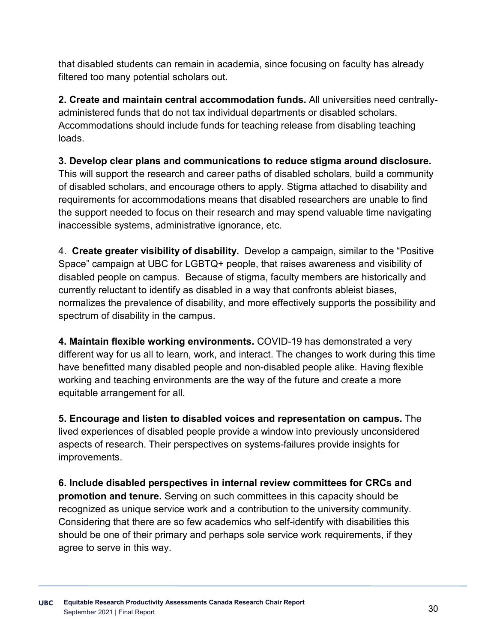that disabled students can remain in academia, since focusing on faculty has already filtered too many potential scholars out.

**2. Create and maintain central accommodation funds.** All universities need centrallyadministered funds that do not tax individual departments or disabled scholars. Accommodations should include funds for teaching release from disabling teaching loads.

**3. Develop clear plans and communications to reduce stigma around disclosure.**  This will support the research and career paths of disabled scholars, build a community of disabled scholars, and encourage others to apply. Stigma attached to disability and requirements for accommodations means that disabled researchers are unable to find the support needed to focus on their research and may spend valuable time navigating inaccessible systems, administrative ignorance, etc.

4. **Create greater visibility of disability.** Develop a campaign, similar to the "Positive Space" campaign at UBC for LGBTQ+ people, that raises awareness and visibility of disabled people on campus. Because of stigma, faculty members are historically and currently reluctant to identify as disabled in a way that confronts ableist biases, normalizes the prevalence of disability, and more effectively supports the possibility and spectrum of disability in the campus.

**4. Maintain flexible working environments.** COVID-19 has demonstrated a very different way for us all to learn, work, and interact. The changes to work during this time have benefitted many disabled people and non-disabled people alike. Having flexible working and teaching environments are the way of the future and create a more equitable arrangement for all.

**5. Encourage and listen to disabled voices and representation on campus.** The lived experiences of disabled people provide a window into previously unconsidered aspects of research. Their perspectives on systems-failures provide insights for improvements.

**6. Include disabled perspectives in internal review committees for CRCs and promotion and tenure.** Serving on such committees in this capacity should be recognized as unique service work and a contribution to the university community. Considering that there are so few academics who self-identify with disabilities this should be one of their primary and perhaps sole service work requirements, if they agree to serve in this way.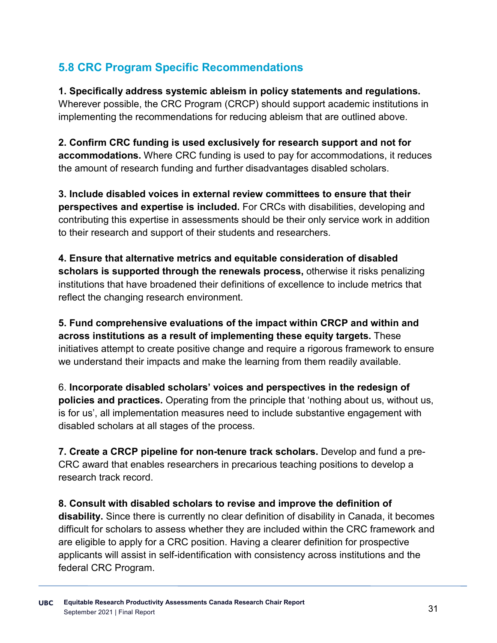# **5.8 CRC Program Specific Recommendations**

**1. Specifically address systemic ableism in policy statements and regulations.** Wherever possible, the CRC Program (CRCP) should support academic institutions in implementing the recommendations for reducing ableism that are outlined above.

**2. Confirm CRC funding is used exclusively for research support and not for accommodations.** Where CRC funding is used to pay for accommodations, it reduces the amount of research funding and further disadvantages disabled scholars.

**3. Include disabled voices in external review committees to ensure that their perspectives and expertise is included.** For CRCs with disabilities, developing and contributing this expertise in assessments should be their only service work in addition to their research and support of their students and researchers.

**4. Ensure that alternative metrics and equitable consideration of disabled scholars is supported through the renewals process,** otherwise it risks penalizing institutions that have broadened their definitions of excellence to include metrics that reflect the changing research environment.

**5. Fund comprehensive evaluations of the impact within CRCP and within and across institutions as a result of implementing these equity targets.** These initiatives attempt to create positive change and require a rigorous framework to ensure we understand their impacts and make the learning from them readily available.

6. **Incorporate disabled scholars' voices and perspectives in the redesign of policies and practices.** Operating from the principle that 'nothing about us, without us, is for us', all implementation measures need to include substantive engagement with disabled scholars at all stages of the process.

**7. Create a CRCP pipeline for non-tenure track scholars.** Develop and fund a pre-CRC award that enables researchers in precarious teaching positions to develop a research track record.

**8. Consult with disabled scholars to revise and improve the definition of disability.** Since there is currently no clear definition of disability in Canada, it becomes difficult for scholars to assess whether they are included within the CRC framework and are eligible to apply for a CRC position. Having a clearer definition for prospective applicants will assist in self-identification with consistency across institutions and the federal CRC Program.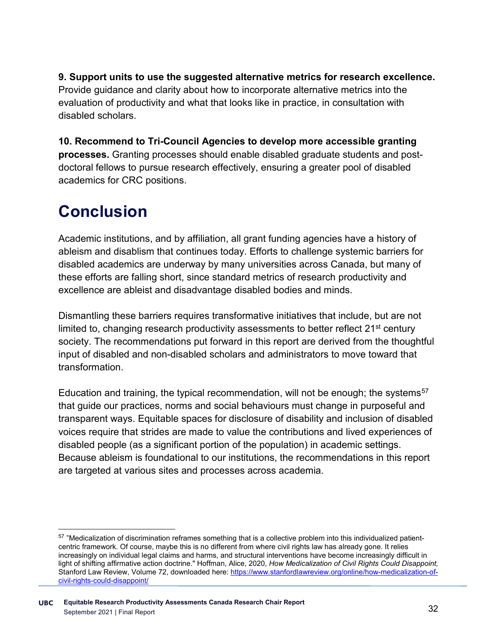**9. Support units to use the suggested alternative metrics for research excellence.**  Provide guidance and clarity about how to incorporate alternative metrics into the evaluation of productivity and what that looks like in practice, in consultation with disabled scholars.

**10. Recommend to Tri-Council Agencies to develop more accessible granting processes.** Granting processes should enable disabled graduate students and postdoctoral fellows to pursue research effectively, ensuring a greater pool of disabled academics for CRC positions.

# **Conclusion**

Academic institutions, and by affiliation, all grant funding agencies have a history of ableism and disablism that continues today. Efforts to challenge systemic barriers for disabled academics are underway by many universities across Canada, but many of these efforts are falling short, since standard metrics of research productivity and excellence are ableist and disadvantage disabled bodies and minds.

Dismantling these barriers requires transformative initiatives that include, but are not limited to, changing research productivity assessments to better reflect 21<sup>st</sup> century society. The recommendations put forward in this report are derived from the thoughtful input of disabled and non-disabled scholars and administrators to move toward that transformation.

Education and training, the typical recommendation, will not be enough; the systems<sup>57</sup> that guide our practices, norms and social behaviours must change in purposeful and transparent ways. Equitable spaces for disclosure of disability and inclusion of disabled voices require that strides are made to value the contributions and lived experiences of disabled people (as a significant portion of the population) in academic settings. Because ableism is foundational to our institutions, the recommendations in this report are targeted at various sites and processes across academia.

<span id="page-35-0"></span><sup>57 &</sup>quot;Medicalization of discrimination reframes something that is a collective problem into this individualized patientcentric framework. Of course, maybe this is no different from where civil rights law has already gone. It relies increasingly on individual legal claims and harms, and structural interventions have become increasingly difficult in light of shifting affirmative action doctrine." Hoffman, Alice, 2020, *How Medicalization of Civil Rights Could Disappoint,*  Stanford Law Review, Volume 72, downloaded here: [https://www.stanfordlawreview.org/online/how-medicalization-of](https://www.stanfordlawreview.org/online/how-medicalization-of-civil-rights-could-disappoint/)[civil-rights-could-disappoint/](https://www.stanfordlawreview.org/online/how-medicalization-of-civil-rights-could-disappoint/)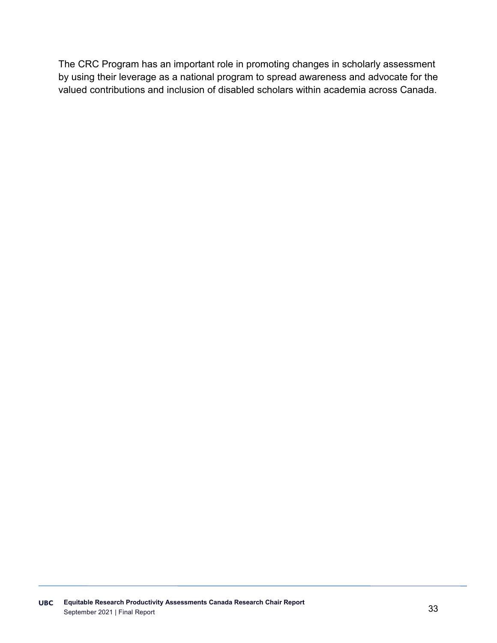The CRC Program has an important role in promoting changes in scholarly assessment by using their leverage as a national program to spread awareness and advocate for the valued contributions and inclusion of disabled scholars within academia across Canada.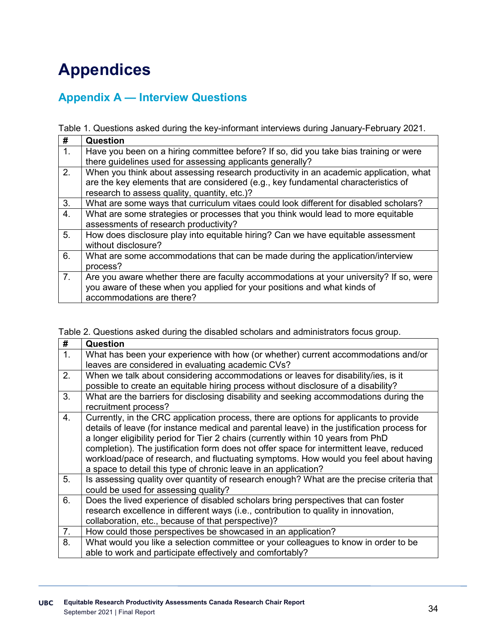# **Appendices**

## **Appendix A — Interview Questions**

Table 1. Questions asked during the key-informant interviews during January-February 2021.

| #                | Question                                                                               |
|------------------|----------------------------------------------------------------------------------------|
| $\overline{1}$ . | Have you been on a hiring committee before? If so, did you take bias training or were  |
|                  | there guidelines used for assessing applicants generally?                              |
| $\overline{2}$ . | When you think about assessing research productivity in an academic application, what  |
|                  | are the key elements that are considered (e.g., key fundamental characteristics of     |
|                  | research to assess quality, quantity, etc.)?                                           |
| 3.               | What are some ways that curriculum vitaes could look different for disabled scholars?  |
| $\overline{4}$ . | What are some strategies or processes that you think would lead to more equitable      |
|                  | assessments of research productivity?                                                  |
| 5.               | How does disclosure play into equitable hiring? Can we have equitable assessment       |
|                  | without disclosure?                                                                    |
| 6.               | What are some accommodations that can be made during the application/interview         |
|                  | process?                                                                               |
| 7 <sub>1</sub>   | Are you aware whether there are faculty accommodations at your university? If so, were |
|                  | you aware of these when you applied for your positions and what kinds of               |
|                  | accommodations are there?                                                              |

Table 2. Questions asked during the disabled scholars and administrators focus group.

| #  | Question                                                                                                                                                                                                                                                                                                                                                                                                                                                                                                                          |
|----|-----------------------------------------------------------------------------------------------------------------------------------------------------------------------------------------------------------------------------------------------------------------------------------------------------------------------------------------------------------------------------------------------------------------------------------------------------------------------------------------------------------------------------------|
| 1. | What has been your experience with how (or whether) current accommodations and/or<br>leaves are considered in evaluating academic CVs?                                                                                                                                                                                                                                                                                                                                                                                            |
| 2. | When we talk about considering accommodations or leaves for disability/ies, is it<br>possible to create an equitable hiring process without disclosure of a disability?                                                                                                                                                                                                                                                                                                                                                           |
| 3. | What are the barriers for disclosing disability and seeking accommodations during the<br>recruitment process?                                                                                                                                                                                                                                                                                                                                                                                                                     |
| 4. | Currently, in the CRC application process, there are options for applicants to provide<br>details of leave (for instance medical and parental leave) in the justification process for<br>a longer eligibility period for Tier 2 chairs (currently within 10 years from PhD<br>completion). The justification form does not offer space for intermittent leave, reduced<br>workload/pace of research, and fluctuating symptoms. How would you feel about having<br>a space to detail this type of chronic leave in an application? |
| 5. | Is assessing quality over quantity of research enough? What are the precise criteria that<br>could be used for assessing quality?                                                                                                                                                                                                                                                                                                                                                                                                 |
| 6. | Does the lived experience of disabled scholars bring perspectives that can foster<br>research excellence in different ways (i.e., contribution to quality in innovation,<br>collaboration, etc., because of that perspective)?                                                                                                                                                                                                                                                                                                    |
| 7. | How could those perspectives be showcased in an application?                                                                                                                                                                                                                                                                                                                                                                                                                                                                      |
| 8. | What would you like a selection committee or your colleagues to know in order to be<br>able to work and participate effectively and comfortably?                                                                                                                                                                                                                                                                                                                                                                                  |